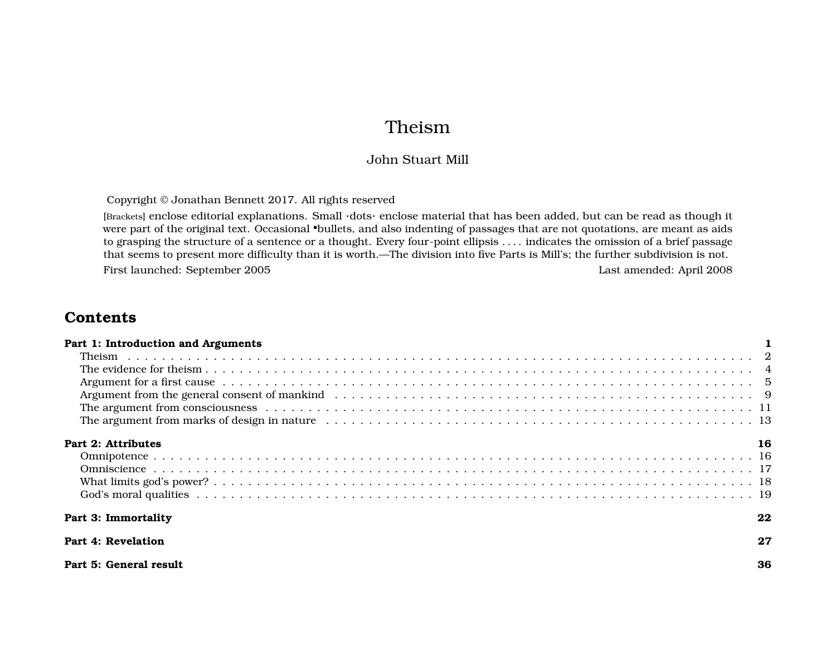# Theism

## John Stuart Mill

Copyright © Jonathan Bennett 2017. All rights reserved

[Brackets] enclose editorial explanations. Small ·dots· enclose material that has been added, but can be read as though it were part of the original text. Occasional •bullets, and also indenting of passages that are not quotations, are meant as aids to grasping the structure of a sentence or a thought. Every four-point ellipsis . . . . indicates the omission of a brief passage that seems to present more difficulty than it is worth.—The division into five Parts is Mill's; the further subdivision is not. First launched: September 2005 Last amended: April 2008

# **Contents**

| Part 1: Introduction and Arguments |    |
|------------------------------------|----|
|                                    |    |
|                                    |    |
|                                    |    |
|                                    |    |
|                                    |    |
|                                    |    |
| Part 2: Attributes                 |    |
|                                    |    |
|                                    |    |
|                                    |    |
|                                    |    |
| Part 3: Immortality                | 22 |
| Part 4: Revelation                 | 27 |
| Part 5: General result             | 36 |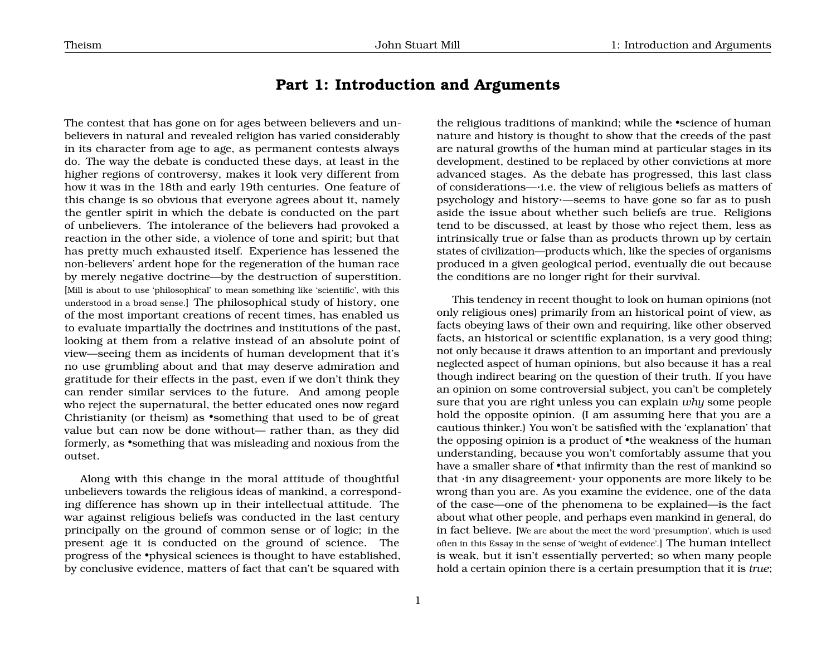## <span id="page-1-0"></span>**Part 1: Introduction and Arguments**

The contest that has gone on for ages between believers and unbelievers in natural and revealed religion has varied considerably in its character from age to age, as permanent contests always do. The way the debate is conducted these days, at least in the higher regions of controversy, makes it look very different from how it was in the 18th and early 19th centuries. One feature of this change is so obvious that everyone agrees about it, namely the gentler spirit in which the debate is conducted on the part of unbelievers. The intolerance of the believers had provoked a reaction in the other side, a violence of tone and spirit; but that has pretty much exhausted itself. Experience has lessened the non-believers' ardent hope for the regeneration of the human race by merely negative doctrine—by the destruction of superstition. [Mill is about to use 'philosophical' to mean something like 'scientific', with this understood in a broad sense.] The philosophical study of history, one of the most important creations of recent times, has enabled us to evaluate impartially the doctrines and institutions of the past, looking at them from a relative instead of an absolute point of view—seeing them as incidents of human development that it's no use grumbling about and that may deserve admiration and gratitude for their effects in the past, even if we don't think they can render similar services to the future. And among people who reject the supernatural, the better educated ones now regard Christianity (or theism) as •something that used to be of great value but can now be done without— rather than, as they did formerly, as •something that was misleading and noxious from the outset.

Along with this change in the moral attitude of thoughtful unbelievers towards the religious ideas of mankind, a corresponding difference has shown up in their intellectual attitude. The war against religious beliefs was conducted in the last century principally on the ground of common sense or of logic; in the present age it is conducted on the ground of science. The progress of the •physical sciences is thought to have established, by conclusive evidence, matters of fact that can't be squared with

the religious traditions of mankind; while the •science of human nature and history is thought to show that the creeds of the past are natural growths of the human mind at particular stages in its development, destined to be replaced by other convictions at more advanced stages. As the debate has progressed, this last class of considerations—·i.e. the view of religious beliefs as matters of psychology and history·—seems to have gone so far as to push aside the issue about whether such beliefs are true. Religions tend to be discussed, at least by those who reject them, less as intrinsically true or false than as products thrown up by certain states of civilization—products which, like the species of organisms produced in a given geological period, eventually die out because the conditions are no longer right for their survival.

This tendency in recent thought to look on human opinions (not only religious ones) primarily from an historical point of view, as facts obeying laws of their own and requiring, like other observed facts, an historical or scientific explanation, is a very good thing; not only because it draws attention to an important and previously neglected aspect of human opinions, but also because it has a real though indirect bearing on the question of their truth. If you have an opinion on some controversial subject, you can't be completely sure that you are right unless you can explain *why* some people hold the opposite opinion. (I am assuming here that you are a cautious thinker.) You won't be satisfied with the 'explanation' that the opposing opinion is a product of •the weakness of the human understanding, because you won't comfortably assume that you have a smaller share of •that infirmity than the rest of mankind so that ·in any disagreement· your opponents are more likely to be wrong than you are. As you examine the evidence, one of the data of the case—one of the phenomena to be explained—is the fact about what other people, and perhaps even mankind in general, do in fact believe. [We are about the meet the word 'presumption', which is used often in this Essay in the sense of 'weight of evidence'.] The human intellect is weak, but it isn't essentially perverted; so when many people hold a certain opinion there is a certain presumption that it is *true*;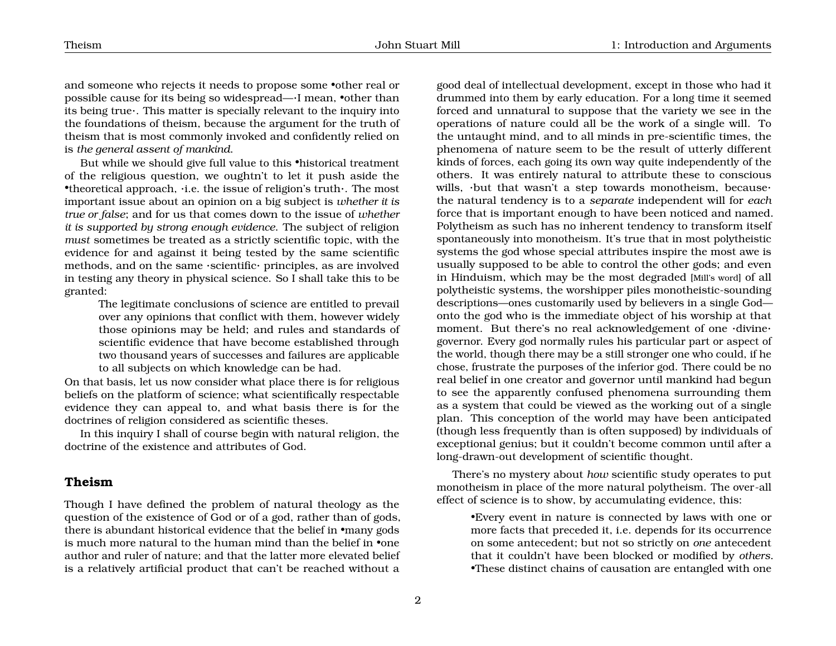and someone who rejects it needs to propose some •other real or possible cause for its being so widespread—·I mean, •other than its being true·. This matter is specially relevant to the inquiry into the foundations of theism, because the argument for the truth of theism that is most commonly invoked and confidently relied on is *the general assent of mankind*.

But while we should give full value to this •historical treatment of the religious question, we oughtn't to let it push aside the •theoretical approach, ·i.e. the issue of religion's truth·. The most important issue about an opinion on a big subject is *whether it is true or false*; and for us that comes down to the issue of *whether it is supported by strong enough evidence*. The subject of religion *must* sometimes be treated as a strictly scientific topic, with the evidence for and against it being tested by the same scientific methods, and on the same ·scientific· principles, as are involved in testing any theory in physical science. So I shall take this to be granted:

The legitimate conclusions of science are entitled to prevail over any opinions that conflict with them, however widely those opinions may be held; and rules and standards of scientific evidence that have become established through two thousand years of successes and failures are applicable to all subjects on which knowledge can be had.

On that basis, let us now consider what place there is for religious beliefs on the platform of science; what scientifically respectable evidence they can appeal to, and what basis there is for the doctrines of religion considered as scientific theses.

In this inquiry I shall of course begin with natural religion, the doctrine of the existence and attributes of God.

#### <span id="page-2-0"></span>**Theism**

Though I have defined the problem of natural theology as the question of the existence of God or of a god, rather than of gods, there is abundant historical evidence that the belief in •many gods is much more natural to the human mind than the belief in •one author and ruler of nature; and that the latter more elevated belief is a relatively artificial product that can't be reached without a

good deal of intellectual development, except in those who had it drummed into them by early education. For a long time it seemed forced and unnatural to suppose that the variety we see in the operations of nature could all be the work of a single will. To the untaught mind, and to all minds in pre-scientific times, the phenomena of nature seem to be the result of utterly different kinds of forces, each going its own way quite independently of the others. It was entirely natural to attribute these to conscious wills, ·but that wasn't a step towards monotheism, because· the natural tendency is to a *separate* independent will for *each* force that is important enough to have been noticed and named. Polytheism as such has no inherent tendency to transform itself spontaneously into monotheism. It's true that in most polytheistic systems the god whose special attributes inspire the most awe is usually supposed to be able to control the other gods; and even in Hinduism, which may be the most degraded [Mill's word] of all polytheistic systems, the worshipper piles monotheistic-sounding descriptions—ones customarily used by believers in a single God onto the god who is the immediate object of his worship at that moment. But there's no real acknowledgement of one ·divine· governor. Every god normally rules his particular part or aspect of the world, though there may be a still stronger one who could, if he chose, frustrate the purposes of the inferior god. There could be no real belief in one creator and governor until mankind had begun to see the apparently confused phenomena surrounding them as a system that could be viewed as the working out of a single plan. This conception of the world may have been anticipated (though less frequently than is often supposed) by individuals of exceptional genius; but it couldn't become common until after a long-drawn-out development of scientific thought.

There's no mystery about *how* scientific study operates to put monotheism in place of the more natural polytheism. The over-all effect of science is to show, by accumulating evidence, this:

> •Every event in nature is connected by laws with one or more facts that preceded it, i.e. depends for its occurrence on some antecedent; but not so strictly on *one* antecedent that it couldn't have been blocked or modified by *others*. •These distinct chains of causation are entangled with one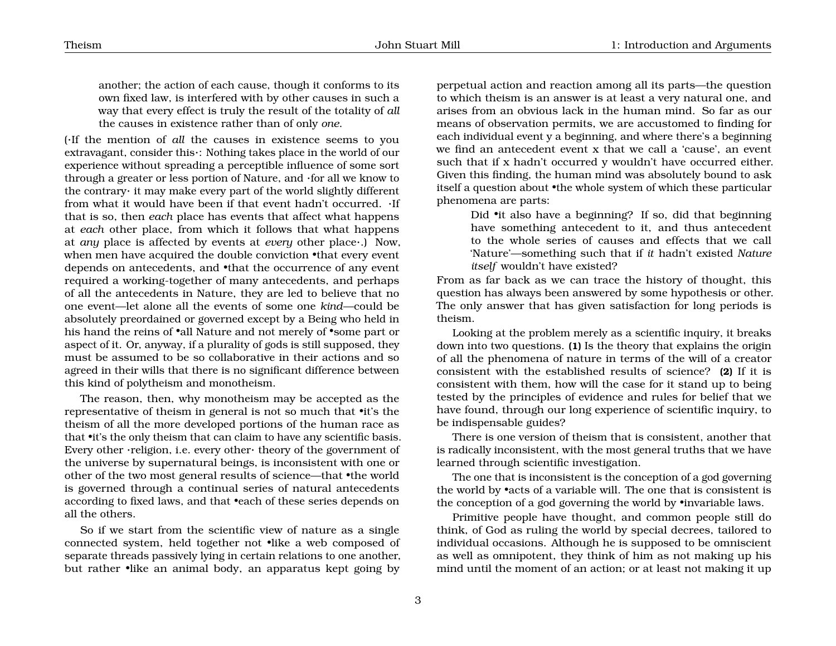another; the action of each cause, though it conforms to its own fixed law, is interfered with by other causes in such a way that every effect is truly the result of the totality of *all* the causes in existence rather than of only *one*.

(·If the mention of *all* the causes in existence seems to you extravagant, consider this·: Nothing takes place in the world of our experience without spreading a perceptible influence of some sort through a greater or less portion of Nature, and ·for all we know to the contrary· it may make every part of the world slightly different from what it would have been if that event hadn't occurred. ·If that is so, then *each* place has events that affect what happens at *each* other place, from which it follows that what happens at *any* place is affected by events at *every* other place·.) Now, when men have acquired the double conviction •that every event depends on antecedents, and •that the occurrence of any event required a working-together of many antecedents, and perhaps of all the antecedents in Nature, they are led to believe that no one event—let alone all the events of some one *kind*—could be absolutely preordained or governed except by a Being who held in his hand the reins of •all Nature and not merely of •some part or aspect of it. Or, anyway, if a plurality of gods is still supposed, they must be assumed to be so collaborative in their actions and so agreed in their wills that there is no significant difference between this kind of polytheism and monotheism.

The reason, then, why monotheism may be accepted as the representative of theism in general is not so much that •it's the theism of all the more developed portions of the human race as that •it's the only theism that can claim to have any scientific basis. Every other ·religion, i.e. every other· theory of the government of the universe by supernatural beings, is inconsistent with one or other of the two most general results of science—that •the world is governed through a continual series of natural antecedents according to fixed laws, and that •each of these series depends on all the others.

So if we start from the scientific view of nature as a single connected system, held together not •like a web composed of separate threads passively lying in certain relations to one another, but rather •like an animal body, an apparatus kept going by

perpetual action and reaction among all its parts—the question to which theism is an answer is at least a very natural one, and arises from an obvious lack in the human mind. So far as our means of observation permits, we are accustomed to finding for each individual event y a beginning, and where there's a beginning we find an antecedent event x that we call a 'cause', an event such that if x hadn't occurred y wouldn't have occurred either. Given this finding, the human mind was absolutely bound to ask itself a question about •the whole system of which these particular phenomena are parts:

> Did •it also have a beginning? If so, did that beginning have something antecedent to it, and thus antecedent to the whole series of causes and effects that we call 'Nature'—something such that if *it* hadn't existed *Nature itself* wouldn't have existed?

From as far back as we can trace the history of thought, this question has always been answered by some hypothesis or other. The only answer that has given satisfaction for long periods is theism.

Looking at the problem merely as a scientific inquiry, it breaks down into two questions. **(1)** Is the theory that explains the origin of all the phenomena of nature in terms of the will of a creator consistent with the established results of science? **(2)** If it is consistent with them, how will the case for it stand up to being tested by the principles of evidence and rules for belief that we have found, through our long experience of scientific inquiry, to be indispensable guides?

There is one version of theism that is consistent, another that is radically inconsistent, with the most general truths that we have learned through scientific investigation.

The one that is inconsistent is the conception of a god governing the world by •acts of a variable will. The one that is consistent is the conception of a god governing the world by •invariable laws.

Primitive people have thought, and common people still do think, of God as ruling the world by special decrees, tailored to individual occasions. Although he is supposed to be omniscient as well as omnipotent, they think of him as not making up his mind until the moment of an action; or at least not making it up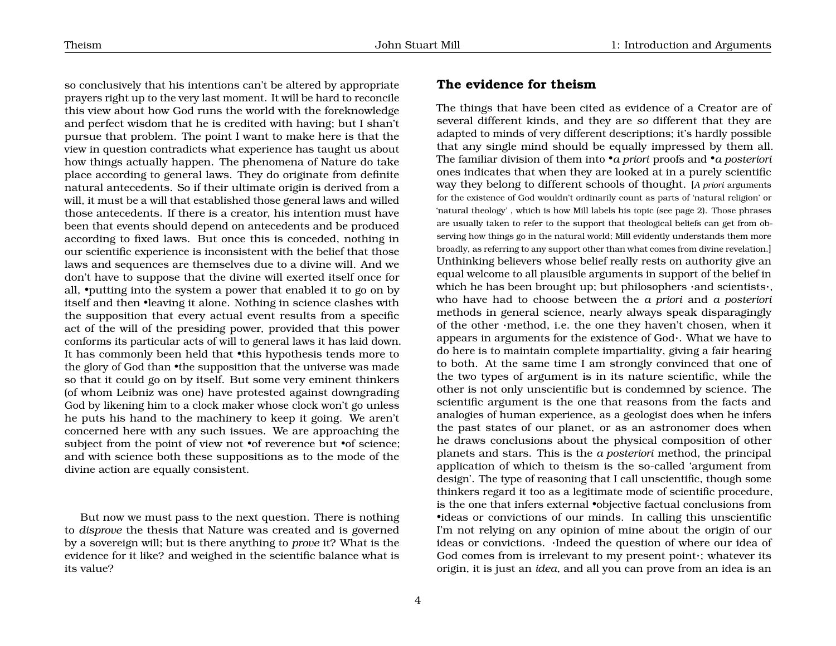so conclusively that his intentions can't be altered by appropriate prayers right up to the very last moment. It will be hard to reconcile this view about how God runs the world with the foreknowledge and perfect wisdom that he is credited with having; but I shan't pursue that problem. The point I want to make here is that the view in question contradicts what experience has taught us about how things actually happen. The phenomena of Nature do take place according to general laws. They do originate from definite natural antecedents. So if their ultimate origin is derived from a will, it must be a will that established those general laws and willed those antecedents. If there is a creator, his intention must have been that events should depend on antecedents and be produced according to fixed laws. But once this is conceded, nothing in our scientific experience is inconsistent with the belief that those laws and sequences are themselves due to a divine will. And we don't have to suppose that the divine will exerted itself once for all, •putting into the system a power that enabled it to go on by itself and then •leaving it alone. Nothing in science clashes with the supposition that every actual event results from a specific act of the will of the presiding power, provided that this power conforms its particular acts of will to general laws it has laid down. It has commonly been held that •this hypothesis tends more to the glory of God than •the supposition that the universe was made so that it could go on by itself. But some very eminent thinkers (of whom Leibniz was one) have protested against downgrading God by likening him to a clock maker whose clock won't go unless he puts his hand to the machinery to keep it going. We aren't concerned here with any such issues. We are approaching the subject from the point of view not •of reverence but •of science; and with science both these suppositions as to the mode of the divine action are equally consistent.

But now we must pass to the next question. There is nothing to *disprove* the thesis that Nature was created and is governed by a sovereign will; but is there anything to *prove* it? What is the evidence for it like? and weighed in the scientific balance what is its value?

## <span id="page-4-0"></span>**The evidence for theism**

The things that have been cited as evidence of a Creator are of several different kinds, and they are *so* different that they are adapted to minds of very different descriptions; it's hardly possible that any single mind should be equally impressed by them all. The familiar division of them into •*a priori* proofs and •*a posteriori* ones indicates that when they are looked at in a purely scientific way they belong to different schools of thought. [*A priori* arguments for the existence of God wouldn't ordinarily count as parts of 'natural religion' or 'natural theology' , which is how Mill labels his topic (see page [2\)](#page-2-0). Those phrases are usually taken to refer to the support that theological beliefs can get from observing how things go in the natural world; Mill evidently understands them more broadly, as referring to any support other than what comes from divine revelation.] Unthinking believers whose belief really rests on authority give an equal welcome to all plausible arguments in support of the belief in which he has been brought up; but philosophers ·and scientists·, who have had to choose between the *a priori* and *a posteriori* methods in general science, nearly always speak disparagingly of the other ·method, i.e. the one they haven't chosen, when it appears in arguments for the existence of God·. What we have to do here is to maintain complete impartiality, giving a fair hearing to both. At the same time I am strongly convinced that one of the two types of argument is in its nature scientific, while the other is not only unscientific but is condemned by science. The scientific argument is the one that reasons from the facts and analogies of human experience, as a geologist does when he infers the past states of our planet, or as an astronomer does when he draws conclusions about the physical composition of other planets and stars. This is the *a posteriori* method, the principal application of which to theism is the so-called 'argument from design'. The type of reasoning that I call unscientific, though some thinkers regard it too as a legitimate mode of scientific procedure, is the one that infers external •objective factual conclusions from •ideas or convictions of our minds. In calling this unscientific I'm not relying on any opinion of mine about the origin of our ideas or convictions. ·Indeed the question of where our idea of God comes from is irrelevant to my present point·; whatever its origin, it is just an *idea*, and all you can prove from an idea is an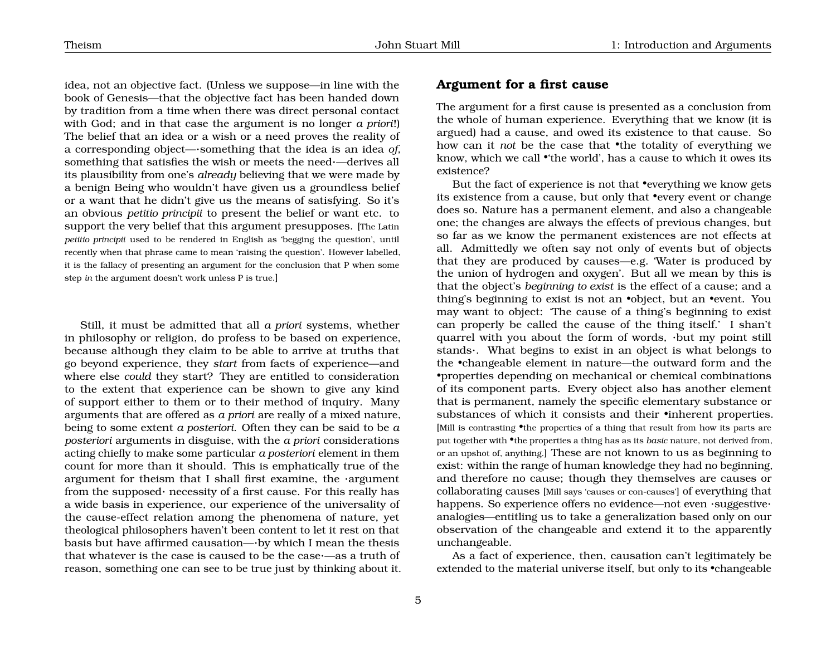idea, not an objective fact. (Unless we suppose—in line with the book of Genesis—that the objective fact has been handed down by tradition from a time when there was direct personal contact with God; and in that case the argument is no longer *a priori*!) The belief that an idea or a wish or a need proves the reality of a corresponding object—·something that the idea is an idea *of*, something that satisfies the wish or meets the need·—derives all

its plausibility from one's *already* believing that we were made by a benign Being who wouldn't have given us a groundless belief or a want that he didn't give us the means of satisfying. So it's an obvious *petitio principii* to present the belief or want etc. to support the very belief that this argument presupposes. [The Latin *petitio principii* used to be rendered in English as 'begging the question', until recently when that phrase came to mean 'raising the question'. However labelled, it is the fallacy of presenting an argument for the conclusion that P when some step *in* the argument doesn't work unless P is true.]

Still, it must be admitted that all *a priori* systems, whether in philosophy or religion, do profess to be based on experience, because although they claim to be able to arrive at truths that go beyond experience, they *start* from facts of experience—and where else *could* they start? They are entitled to consideration to the extent that experience can be shown to give any kind of support either to them or to their method of inquiry. Many arguments that are offered as *a priori* are really of a mixed nature, being to some extent *a posteriori*. Often they can be said to be *a posteriori* arguments in disguise, with the *a priori* considerations acting chiefly to make some particular *a posteriori* element in them count for more than it should. This is emphatically true of the argument for theism that I shall first examine, the ·argument from the supposed· necessity of a first cause. For this really has a wide basis in experience, our experience of the universality of the cause-effect relation among the phenomena of nature, yet theological philosophers haven't been content to let it rest on that basis but have affirmed causation—·by which I mean the thesis that whatever is the case is caused to be the case·—as a truth of reason, something one can see to be true just by thinking about it.

### <span id="page-5-0"></span>**Argument for a first cause**

The argument for a first cause is presented as a conclusion from the whole of human experience. Everything that we know (it is argued) had a cause, and owed its existence to that cause. So how can it *not* be the case that •the totality of everything we know, which we call •'the world', has a cause to which it owes its existence?

But the fact of experience is not that •everything we know gets its existence from a cause, but only that •every event or change does so. Nature has a permanent element, and also a changeable one; the changes are always the effects of previous changes, but so far as we know the permanent existences are not effects at all. Admittedly we often say not only of events but of objects that they are produced by causes—e.g. 'Water is produced by the union of hydrogen and oxygen'. But all we mean by this is that the object's *beginning to exist* is the effect of a cause; and a thing's beginning to exist is not an •object, but an •event. You may want to object: 'The cause of a thing's beginning to exist can properly be called the cause of the thing itself.' I shan't quarrel with you about the form of words, ·but my point still stands·. What begins to exist in an object is what belongs to the •changeable element in nature—the outward form and the •properties depending on mechanical or chemical combinations of its component parts. Every object also has another element that is permanent, namely the specific elementary substance or substances of which it consists and their •inherent properties. [Mill is contrasting •the properties of a thing that result from how its parts are put together with •the properties a thing has as its *basic* nature, not derived from, or an upshot of, anything.] These are not known to us as beginning to exist: within the range of human knowledge they had no beginning, and therefore no cause; though they themselves are causes or collaborating causes [Mill says 'causes or con-causes'] of everything that happens. So experience offers no evidence—not even ·suggestive· analogies—entitling us to take a generalization based only on our observation of the changeable and extend it to the apparently unchangeable.

As a fact of experience, then, causation can't legitimately be extended to the material universe itself, but only to its •changeable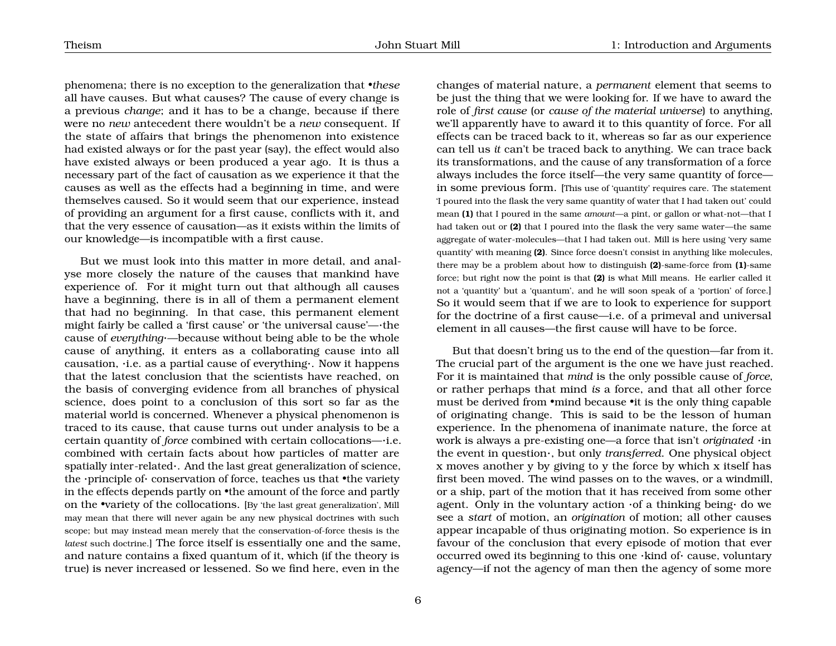phenomena; there is no exception to the generalization that *•these* all have causes. But what causes? The cause of every change is a previous *change*; and it has to be a change, because if there were no *new* antecedent there wouldn't be a *new* consequent. If the state of affairs that brings the phenomenon into existence had existed always or for the past year (say), the effect would also have existed always or been produced a year ago. It is thus a necessary part of the fact of causation as we experience it that the causes as well as the effects had a beginning in time, and were themselves caused. So it would seem that our experience, instead of providing an argument for a first cause, conflicts with it, and that the very essence of causation—as it exists within the limits of our knowledge—is incompatible with a first cause.

But we must look into this matter in more detail, and analyse more closely the nature of the causes that mankind have experience of. For it might turn out that although all causes have a beginning, there is in all of them a permanent element that had no beginning. In that case, this permanent element might fairly be called a 'first cause' or 'the universal cause'—·the cause of *everything*·—because without being able to be the whole cause of anything, it enters as a collaborating cause into all causation, ·i.e. as a partial cause of everything·. Now it happens that the latest conclusion that the scientists have reached, on the basis of converging evidence from all branches of physical science, does point to a conclusion of this sort so far as the material world is concerned. Whenever a physical phenomenon is traced to its cause, that cause turns out under analysis to be a certain quantity of *force* combined with certain collocations—·i.e. combined with certain facts about how particles of matter are spatially inter-related·. And the last great generalization of science, the ·principle of· conservation of force, teaches us that •the variety in the effects depends partly on •the amount of the force and partly on the •variety of the collocations. [By 'the last great generalization', Mill may mean that there will never again be any new physical doctrines with such scope; but may instead mean merely that the conservation-of-force thesis is the *latest* such doctrine.] The force itself is essentially one and the same, and nature contains a fixed quantum of it, which (if the theory is true) is never increased or lessened. So we find here, even in the

changes of material nature, a *permanent* element that seems to be just the thing that we were looking for. If we have to award the role of *first cause* (or *cause of the material universe*) to anything, we'll apparently have to award it to this quantity of force. For all effects can be traced back to it, whereas so far as our experience can tell us *it* can't be traced back to anything. We can trace back its transformations, and the cause of any transformation of a force always includes the force itself—the very same quantity of force in some previous form. [This use of 'quantity' requires care. The statement 'I poured into the flask the very same quantity of water that I had taken out' could mean **(1)** that I poured in the same *amount*—a pint, or gallon or what-not—that I had taken out or **(2)** that I poured into the flask the very same water—the same aggregate of water-molecules—that I had taken out. Mill is here using 'very same quantity' with meaning **(2)**. Since force doesn't consist in anything like molecules, there may be a problem about how to distinguish **(2)**-same-force from **(1)**-same force; but right now the point is that **(2)** is what Mill means. He earlier called it not a 'quantity' but a 'quantum', and he will soon speak of a 'portion' of force.] So it would seem that if we are to look to experience for support for the doctrine of a first cause—i.e. of a primeval and universal element in all causes—the first cause will have to be force.

But that doesn't bring us to the end of the question—far from it. The crucial part of the argument is the one we have just reached. For it is maintained that *mind* is the only possible cause of *force*, or rather perhaps that mind *is* a force, and that all other force must be derived from •mind because •it is the only thing capable of originating change. This is said to be the lesson of human experience. In the phenomena of inanimate nature, the force at work is always a pre-existing one—a force that isn't *originated* ·in the event in question·, but only *transferred*. One physical object x moves another y by giving to y the force by which x itself has first been moved. The wind passes on to the waves, or a windmill, or a ship, part of the motion that it has received from some other agent. Only in the voluntary action ·of a thinking being· do we see a *start* of motion, an *origination* of motion; all other causes appear incapable of thus originating motion. So experience is in favour of the conclusion that every episode of motion that ever occurred owed its beginning to this one ·kind of· cause, voluntary agency—if not the agency of man then the agency of some more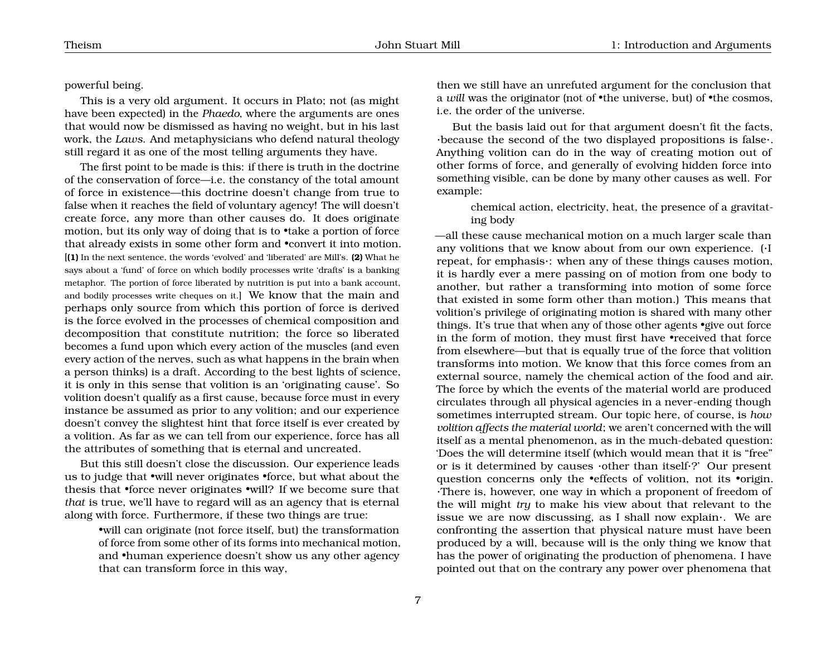#### powerful being.

This is a very old argument. It occurs in Plato; not (as might have been expected) in the *Phaedo*, where the arguments are ones that would now be dismissed as having no weight, but in his last work, the *Laws*. And metaphysicians who defend natural theology still regard it as one of the most telling arguments they have.

The first point to be made is this: if there is truth in the doctrine of the conservation of force—i.e. the constancy of the total amount of force in existence—this doctrine doesn't change from true to false when it reaches the field of voluntary agency! The will doesn't create force, any more than other causes do. It does originate motion, but its only way of doing that is to •take a portion of force that already exists in some other form and •convert it into motion. [**(1)** In the next sentence, the words 'evolved' and 'liberated' are Mill's. **(2)** What he says about a 'fund' of force on which bodily processes write 'drafts' is a banking metaphor. The portion of force liberated by nutrition is put into a bank account, and bodily processes write cheques on it.] We know that the main and perhaps only source from which this portion of force is derived is the force evolved in the processes of chemical composition and decomposition that constitute nutrition; the force so liberated becomes a fund upon which every action of the muscles (and even every action of the nerves, such as what happens in the brain when a person thinks) is a draft. According to the best lights of science, it is only in this sense that volition is an 'originating cause'. So volition doesn't qualify as a first cause, because force must in every instance be assumed as prior to any volition; and our experience doesn't convey the slightest hint that force itself is ever created by a volition. As far as we can tell from our experience, force has all the attributes of something that is eternal and uncreated.

But this still doesn't close the discussion. Our experience leads us to judge that •will never originates •force, but what about the thesis that •force never originates •will? If we become sure that *that* is true, we'll have to regard will as an agency that is eternal along with force. Furthermore, if these two things are true:

> •will can originate (not force itself, but) the transformation of force from some other of its forms into mechanical motion, and •human experience doesn't show us any other agency that can transform force in this way,

then we still have an unrefuted argument for the conclusion that a *will* was the originator (not of •the universe, but) of •the cosmos, i.e. the order of the universe.

But the basis laid out for that argument doesn't fit the facts, ·because the second of the two displayed propositions is false·. Anything volition can do in the way of creating motion out of other forms of force, and generally of evolving hidden force into something visible, can be done by many other causes as well. For example:

chemical action, electricity, heat, the presence of a gravitating body

—all these cause mechanical motion on a much larger scale than any volitions that we know about from our own experience. (·I repeat, for emphasis·: when any of these things causes motion, it is hardly ever a mere passing on of motion from one body to another, but rather a transforming into motion of some force that existed in some form other than motion.) This means that volition's privilege of originating motion is shared with many other things. It's true that when any of those other agents •give out force in the form of motion, they must first have •received that force from elsewhere—but that is equally true of the force that volition transforms into motion. We know that this force comes from an external source, namely the chemical action of the food and air. The force by which the events of the material world are produced circulates through all physical agencies in a never-ending though sometimes interrupted stream. Our topic here, of course, is *how volition affects the material world*; we aren't concerned with the will itself as a mental phenomenon, as in the much-debated question: 'Does the will determine itself (which would mean that it is "free" or is it determined by causes ·other than itself·?' Our present question concerns only the •effects of volition, not its •origin. ·There is, however, one way in which a proponent of freedom of the will might *try* to make his view about that relevant to the issue we are now discussing, as I shall now explain·. We are confronting the assertion that physical nature must have been produced by a will, because will is the only thing we know that has the power of originating the production of phenomena. I have pointed out that on the contrary any power over phenomena that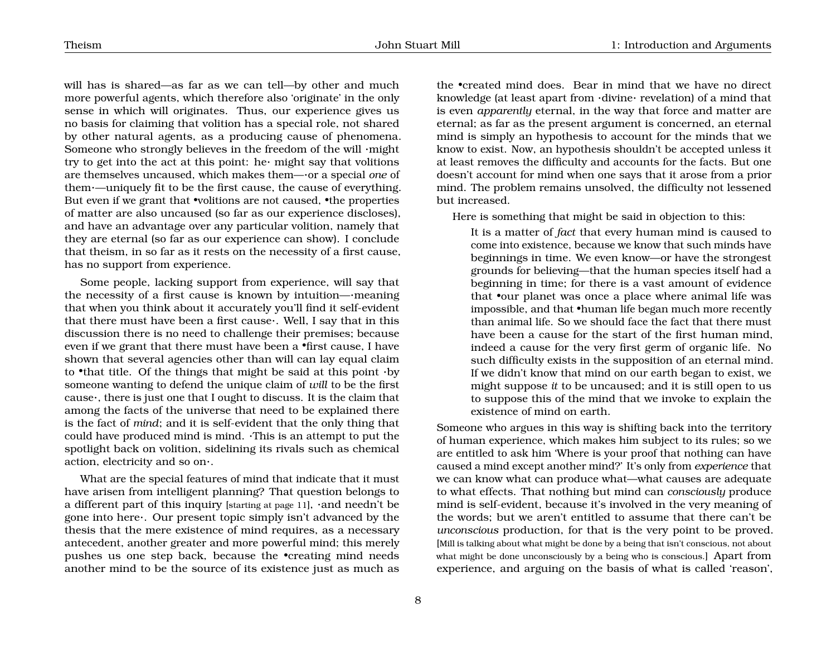will has is shared—as far as we can tell—by other and much more powerful agents, which therefore also 'originate' in the only sense in which will originates. Thus, our experience gives us no basis for claiming that volition has a special role, not shared by other natural agents, as a producing cause of phenomena. Someone who strongly believes in the freedom of the will ·might try to get into the act at this point: he  $m$ ight say that volitions are themselves uncaused, which makes them—·or a special *one* of them·—uniquely fit to be the first cause, the cause of everything. But even if we grant that •volitions are not caused, •the properties of matter are also uncaused (so far as our experience discloses), and have an advantage over any particular volition, namely that they are eternal (so far as our experience can show). I conclude that theism, in so far as it rests on the necessity of a first cause, has no support from experience.

Some people, lacking support from experience, will say that the necessity of a first cause is known by intuition—·meaning that when you think about it accurately you'll find it self-evident that there must have been a first cause·. Well, I say that in this discussion there is no need to challenge their premises; because even if we grant that there must have been a •first cause, I have shown that several agencies other than will can lay equal claim to •that title. Of the things that might be said at this point  $\cdot$  by someone wanting to defend the unique claim of *will* to be the first cause·, there is just one that I ought to discuss. It is the claim that among the facts of the universe that need to be explained there is the fact of *mind*; and it is self-evident that the only thing that could have produced mind is mind. ·This is an attempt to put the spotlight back on volition, sidelining its rivals such as chemical action, electricity and so on·.

What are the special features of mind that indicate that it must have arisen from intelligent planning? That question belongs to a different part of this inquiry [starting at page [11](#page-11-0)], ·and needn't be gone into here·. Our present topic simply isn't advanced by the thesis that the mere existence of mind requires, as a necessary antecedent, another greater and more powerful mind; this merely pushes us one step back, because the •creating mind needs another mind to be the source of its existence just as much as

the •created mind does. Bear in mind that we have no direct knowledge (at least apart from ·divine· revelation) of a mind that is even *apparently* eternal, in the way that force and matter are eternal; as far as the present argument is concerned, an eternal mind is simply an hypothesis to account for the minds that we know to exist. Now, an hypothesis shouldn't be accepted unless it at least removes the difficulty and accounts for the facts. But one doesn't account for mind when one says that it arose from a prior mind. The problem remains unsolved, the difficulty not lessened but increased.

Here is something that might be said in objection to this:

It is a matter of *fact* that every human mind is caused to come into existence, because we know that such minds have beginnings in time. We even know—or have the strongest grounds for believing—that the human species itself had a beginning in time; for there is a vast amount of evidence that •our planet was once a place where animal life was impossible, and that •human life began much more recently than animal life. So we should face the fact that there must have been a cause for the start of the first human mind, indeed a cause for the very first germ of organic life. No such difficulty exists in the supposition of an eternal mind. If we didn't know that mind on our earth began to exist, we might suppose *it* to be uncaused; and it is still open to us to suppose this of the mind that we invoke to explain the existence of mind on earth.

Someone who argues in this way is shifting back into the territory of human experience, which makes him subject to its rules; so we are entitled to ask him 'Where is your proof that nothing can have caused a mind except another mind?' It's only from *experience* that we can know what can produce what—what causes are adequate to what effects. That nothing but mind can *consciously* produce mind is self-evident, because it's involved in the very meaning of the words; but we aren't entitled to assume that there can't be *unconscious* production, for that is the very point to be proved. [Mill is talking about what might be done by a being that isn't conscious, not about what might be done unconsciously by a being who is conscious. Apart from experience, and arguing on the basis of what is called 'reason',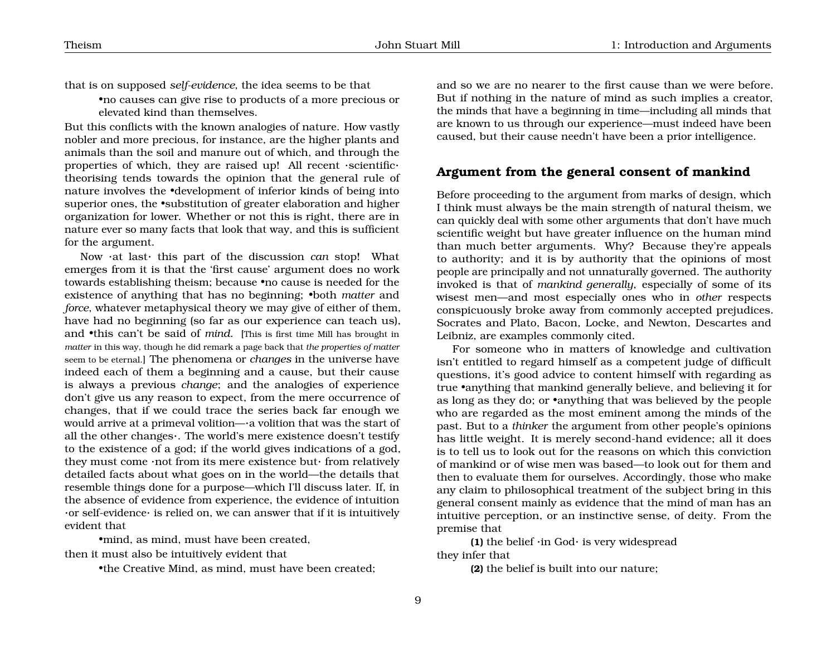that is on supposed *self-evidence*, the idea seems to be that

•no causes can give rise to products of a more precious or elevated kind than themselves.

But this conflicts with the known analogies of nature. How vastly nobler and more precious, for instance, are the higher plants and animals than the soil and manure out of which, and through the properties of which, they are raised up! All recent ·scientific· theorising tends towards the opinion that the general rule of nature involves the •development of inferior kinds of being into superior ones, the •substitution of greater elaboration and higher organization for lower. Whether or not this is right, there are in nature ever so many facts that look that way, and this is sufficient for the argument.

Now ·at last· this part of the discussion *can* stop! What emerges from it is that the 'first cause' argument does no work towards establishing theism; because •no cause is needed for the existence of anything that has no beginning; •both *matter* and *force*, whatever metaphysical theory we may give of either of them, have had no beginning (so far as our experience can teach us), and •this can't be said of *mind*. [This is first time Mill has brought in *matter* in this way, though he did remark a page back that *the properties of matter* seem to be eternal.] The phenomena or *changes* in the universe have indeed each of them a beginning and a cause, but their cause is always a previous *change*; and the analogies of experience don't give us any reason to expect, from the mere occurrence of changes, that if we could trace the series back far enough we would arrive at a primeval volition—·a volition that was the start of all the other changes·. The world's mere existence doesn't testify to the existence of a god; if the world gives indications of a god, they must come ·not from its mere existence but· from relatively detailed facts about what goes on in the world—the details that resemble things done for a purpose—which I'll discuss later. If, in the absence of evidence from experience, the evidence of intuition ·or self-evidence· is relied on, we can answer that if it is intuitively evident that

•mind, as mind, must have been created, then it must also be intuitively evident that

•the Creative Mind, as mind, must have been created;

and so we are no nearer to the first cause than we were before. But if nothing in the nature of mind as such implies a creator, the minds that have a beginning in time—including all minds that are known to us through our experience—must indeed have been caused, but their cause needn't have been a prior intelligence.

## <span id="page-9-0"></span>**Argument from the general consent of mankind**

Before proceeding to the argument from marks of design, which I think must always be the main strength of natural theism, we can quickly deal with some other arguments that don't have much scientific weight but have greater influence on the human mind than much better arguments. Why? Because they're appeals to authority; and it is by authority that the opinions of most people are principally and not unnaturally governed. The authority invoked is that of *mankind generally*, especially of some of its wisest men—and most especially ones who in *other* respects conspicuously broke away from commonly accepted prejudices. Socrates and Plato, Bacon, Locke, and Newton, Descartes and Leibniz, are examples commonly cited.

For someone who in matters of knowledge and cultivation isn't entitled to regard himself as a competent judge of difficult questions, it's good advice to content himself with regarding as true •anything that mankind generally believe, and believing it for as long as they do; or •anything that was believed by the people who are regarded as the most eminent among the minds of the past. But to a *thinker* the argument from other people's opinions has little weight. It is merely second-hand evidence; all it does is to tell us to look out for the reasons on which this conviction of mankind or of wise men was based—to look out for them and then to evaluate them for ourselves. Accordingly, those who make any claim to philosophical treatment of the subject bring in this general consent mainly as evidence that the mind of man has an intuitive perception, or an instinctive sense, of deity. From the premise that

**(1)** the belief ·in God· is very widespread they infer that

**(2)** the belief is built into our nature;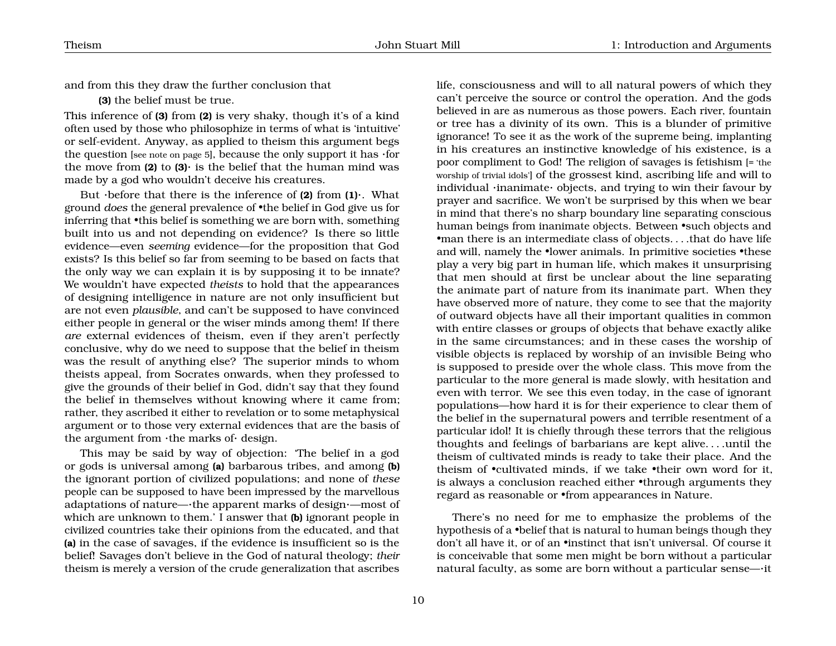and from this they draw the further conclusion that

**(3)** the belief must be true.

This inference of **(3)** from **(2)** is very shaky, though it's of a kind often used by those who philosophize in terms of what is 'intuitive' or self-evident. Anyway, as applied to theism this argument begs the question [see note on page [5](#page-4-0)], because the only support it has  $\cdot$  for the move from **(2)** to **(3)**· is the belief that the human mind was made by a god who wouldn't deceive his creatures.

But ·before that there is the inference of **(2)** from **(1)**·. What ground *does* the general prevalence of •the belief in God give us for inferring that •this belief is something we are born with, something built into us and not depending on evidence? Is there so little evidence—even *seeming* evidence—for the proposition that God exists? Is this belief so far from seeming to be based on facts that the only way we can explain it is by supposing it to be innate? We wouldn't have expected *theists* to hold that the appearances of designing intelligence in nature are not only insufficient but are not even *plausible*, and can't be supposed to have convinced either people in general or the wiser minds among them! If there *are* external evidences of theism, even if they aren't perfectly conclusive, why do we need to suppose that the belief in theism was the result of anything else? The superior minds to whom theists appeal, from Socrates onwards, when they professed to give the grounds of their belief in God, didn't say that they found the belief in themselves without knowing where it came from; rather, they ascribed it either to revelation or to some metaphysical argument or to those very external evidences that are the basis of the argument from ·the marks of· design.

This may be said by way of objection: 'The belief in a god or gods is universal among **(a)** barbarous tribes, and among **(b)** the ignorant portion of civilized populations; and none of *these* people can be supposed to have been impressed by the marvellous adaptations of nature—·the apparent marks of design·—most of which are unknown to them.' I answer that **(b)** ignorant people in civilized countries take their opinions from the educated, and that **(a)** in the case of savages, if the evidence is insufficient so is the belief! Savages don't believe in the God of natural theology; *their* theism is merely a version of the crude generalization that ascribes

life, consciousness and will to all natural powers of which they can't perceive the source or control the operation. And the gods believed in are as numerous as those powers. Each river, fountain or tree has a divinity of its own. This is a blunder of primitive ignorance! To see it as the work of the supreme being, implanting in his creatures an instinctive knowledge of his existence, is a poor compliment to God! The religion of savages is fetishism [= 'the worship of trivial idols'] of the grossest kind, ascribing life and will to individual ·inanimate· objects, and trying to win their favour by prayer and sacrifice. We won't be surprised by this when we bear in mind that there's no sharp boundary line separating conscious human beings from inanimate objects. Between •such objects and •man there is an intermediate class of objects. . . .that do have life and will, namely the •lower animals. In primitive societies •these play a very big part in human life, which makes it unsurprising that men should at first be unclear about the line separating the animate part of nature from its inanimate part. When they have observed more of nature, they come to see that the majority of outward objects have all their important qualities in common with entire classes or groups of objects that behave exactly alike in the same circumstances; and in these cases the worship of visible objects is replaced by worship of an invisible Being who is supposed to preside over the whole class. This move from the particular to the more general is made slowly, with hesitation and even with terror. We see this even today, in the case of ignorant populations—how hard it is for their experience to clear them of the belief in the supernatural powers and terrible resentment of a particular idol! It is chiefly through these terrors that the religious thoughts and feelings of barbarians are kept alive. . . .until the theism of cultivated minds is ready to take their place. And the theism of •cultivated minds, if we take •their own word for it, is always a conclusion reached either •through arguments they regard as reasonable or •from appearances in Nature.

There's no need for me to emphasize the problems of the hypothesis of a •belief that is natural to human beings though they don't all have it, or of an •instinct that isn't universal. Of course it is conceivable that some men might be born without a particular natural faculty, as some are born without a particular sense—·it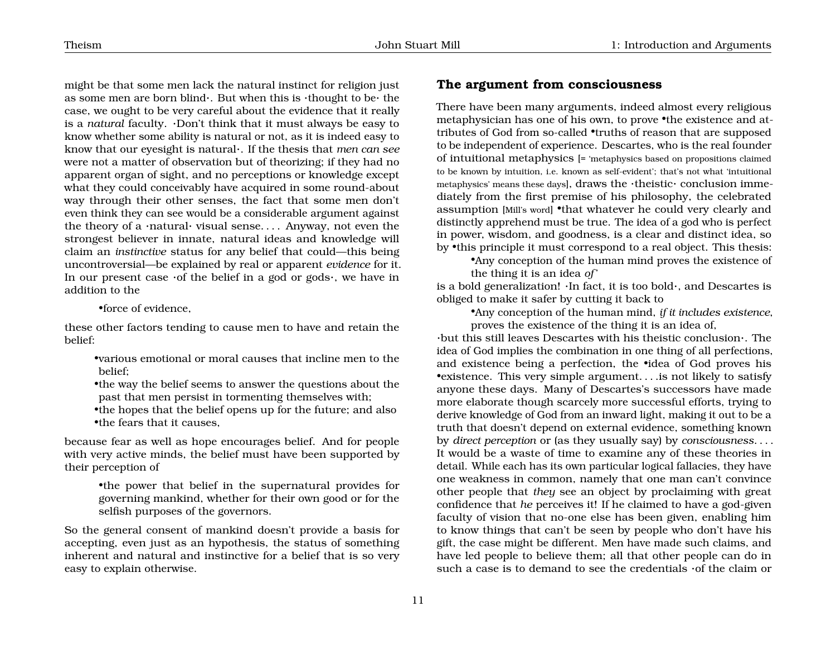might be that some men lack the natural instinct for religion just as some men are born blind  $\cdot$ . But when this is  $\cdot$ thought to be $\cdot$  the case, we ought to be very careful about the evidence that it really is a *natural* faculty. ·Don't think that it must always be easy to know whether some ability is natural or not, as it is indeed easy to know that our eyesight is natural·. If the thesis that *men can see* were not a matter of observation but of theorizing; if they had no apparent organ of sight, and no perceptions or knowledge except what they could conceivably have acquired in some round-about way through their other senses, the fact that some men don't even think they can see would be a considerable argument against the theory of a  $\cdot$ natural $\cdot$  visual sense.... Anyway, not even the strongest believer in innate, natural ideas and knowledge will claim an *instinctive* status for any belief that could—this being uncontroversial—be explained by real or apparent *evidence* for it. In our present case  $\cdot$  of the belief in a god or gods $\cdot$ , we have in addition to the

•force of evidence,

these other factors tending to cause men to have and retain the belief:

•various emotional or moral causes that incline men to the belief;

•the way the belief seems to answer the questions about the past that men persist in tormenting themselves with;

•the hopes that the belief opens up for the future; and also •the fears that it causes,

because fear as well as hope encourages belief. And for people with very active minds, the belief must have been supported by their perception of

> •the power that belief in the supernatural provides for governing mankind, whether for their own good or for the selfish purposes of the governors.

So the general consent of mankind doesn't provide a basis for accepting, even just as an hypothesis, the status of something inherent and natural and instinctive for a belief that is so very easy to explain otherwise.

## <span id="page-11-0"></span>**The argument from consciousness**

There have been many arguments, indeed almost every religious metaphysician has one of his own, to prove •the existence and attributes of God from so-called •truths of reason that are supposed to be independent of experience. Descartes, who is the real founder of intuitional metaphysics [= 'metaphysics based on propositions claimed to be known by intuition, i.e. known as self-evident'; that's not what 'intuitional metaphysics' means these days], draws the ·theistic· conclusion immediately from the first premise of his philosophy, the celebrated assumption [Mill's word] •that whatever he could very clearly and distinctly apprehend must be true. The idea of a god who is perfect in power, wisdom, and goodness, is a clear and distinct idea, so by •this principle it must correspond to a real object. This thesis:

•Any conception of the human mind proves the existence of the thing it is an idea *of* '

is a bold generalization! ·In fact, it is too bold·, and Descartes is obliged to make it safer by cutting it back to

•Any conception of the human mind, *if it includes existence*, proves the existence of the thing it is an idea of,

·but this still leaves Descartes with his theistic conclusion·. The idea of God implies the combination in one thing of all perfections, and existence being a perfection, the •idea of God proves his •existence. This very simple argument. . . .is not likely to satisfy anyone these days. Many of Descartes's successors have made more elaborate though scarcely more successful efforts, trying to derive knowledge of God from an inward light, making it out to be a truth that doesn't depend on external evidence, something known by *direct perception* or (as they usually say) by *consciousness*. . . . It would be a waste of time to examine any of these theories in detail. While each has its own particular logical fallacies, they have one weakness in common, namely that one man can't convince other people that *they* see an object by proclaiming with great confidence that *he* perceives it! If he claimed to have a god-given faculty of vision that no-one else has been given, enabling him to know things that can't be seen by people who don't have his gift, the case might be different. Men have made such claims, and have led people to believe them; all that other people can do in such a case is to demand to see the credentials ·of the claim or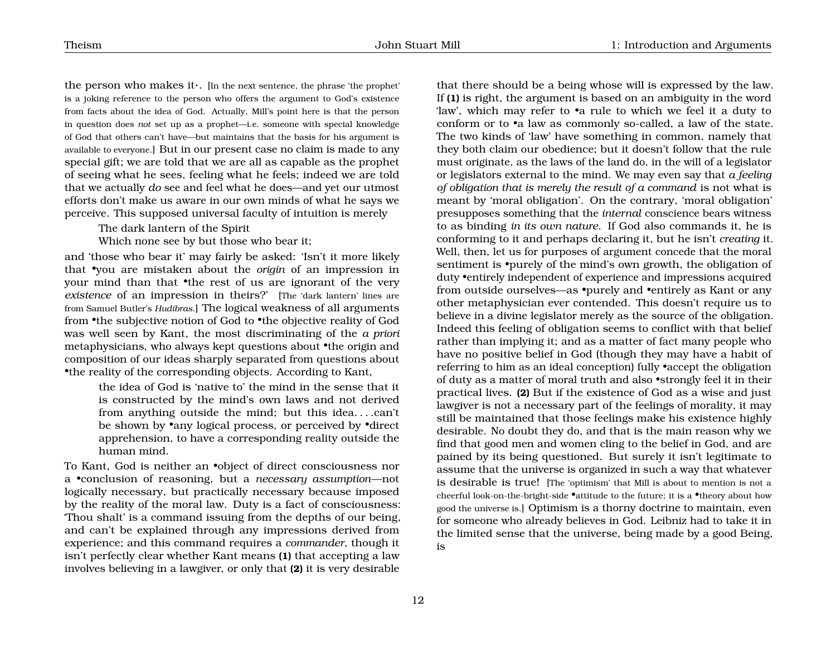the person who makes it·. [In the next sentence, the phrase 'the prophet' is a joking reference to the person who offers the argument to God's existence from facts about the idea of God. Actually, Mill's point here is that the person in question does *not* set up as a prophet—i.e. someone with special knowledge of God that others can't have—but maintains that the basis for his argument is available to everyone.] But in our present case no claim is made to any special gift; we are told that we are all as capable as the prophet of seeing what he sees, feeling what he feels; indeed we are told that we actually *do* see and feel what he does—and yet our utmost efforts don't make us aware in our own minds of what he says we perceive. This supposed universal faculty of intuition is merely

The dark lantern of the Spirit

Which none see by but those who bear it;

and 'those who bear it' may fairly be asked: 'Isn't it more likely that •you are mistaken about the *origin* of an impression in your mind than that •the rest of us are ignorant of the very *existence* of an impression in theirs?' [The 'dark lantern' lines are from Samuel Butler's *Hudibras*.] The logical weakness of all arguments from •the subjective notion of God to •the objective reality of God was well seen by Kant, the most discriminating of the *a priori* metaphysicians, who always kept questions about •the origin and composition of our ideas sharply separated from questions about •the reality of the corresponding objects. According to Kant,

the idea of God is 'native to' the mind in the sense that it is constructed by the mind's own laws and not derived from anything outside the mind; but this idea. . . .can't be shown by •any logical process, or perceived by •direct apprehension, to have a corresponding reality outside the human mind.

To Kant, God is neither an •object of direct consciousness nor a •conclusion of reasoning, but a *necessary assumption*—not logically necessary, but practically necessary because imposed by the reality of the moral law. Duty is a fact of consciousness: 'Thou shalt' is a command issuing from the depths of our being, and can't be explained through any impressions derived from experience; and this command requires a *commander*, though it isn't perfectly clear whether Kant means **(1)** that accepting a law involves believing in a lawgiver, or only that **(2)** it is very desirable

that there should be a being whose will is expressed by the law. If **(1)** is right, the argument is based on an ambiguity in the word 'law', which may refer to •a rule to which we feel it a duty to conform or to •a law as commonly so-called, a law of the state. The two kinds of 'law' have something in common, namely that they both claim our obedience; but it doesn't follow that the rule must originate, as the laws of the land do, in the will of a legislator or legislators external to the mind. We may even say that *a feeling of obligation that is merely the result of a command* is not what is meant by 'moral obligation'. On the contrary, 'moral obligation' presupposes something that the *internal* conscience bears witness to as binding *in its own nature*. If God also commands it, he is conforming to it and perhaps declaring it, but he isn't *creating* it. Well, then, let us for purposes of argument concede that the moral sentiment is •purely of the mind's own growth, the obligation of duty •entirely independent of experience and impressions acquired from outside ourselves—as •purely and •entirely as Kant or any other metaphysician ever contended. This doesn't require us to believe in a divine legislator merely as the source of the obligation. Indeed this feeling of obligation seems to conflict with that belief rather than implying it; and as a matter of fact many people who have no positive belief in God (though they may have a habit of referring to him as an ideal conception) fully •accept the obligation of duty as a matter of moral truth and also •strongly feel it in their practical lives. **(2)** But if the existence of God as a wise and just lawgiver is not a necessary part of the feelings of morality, it may still be maintained that those feelings make his existence highly desirable. No doubt they do, and that is the main reason why we find that good men and women cling to the belief in God, and are pained by its being questioned. But surely it isn't legitimate to assume that the universe is organized in such a way that whatever is desirable is true! [The 'optimism' that Mill is about to mention is not a cheerful look-on-the-bright-side •attitude to the future; it is a •theory about how good the universe is.] Optimism is a thorny doctrine to maintain, even for someone who already believes in God. Leibniz had to take it in the limited sense that the universe, being made by a good Being, is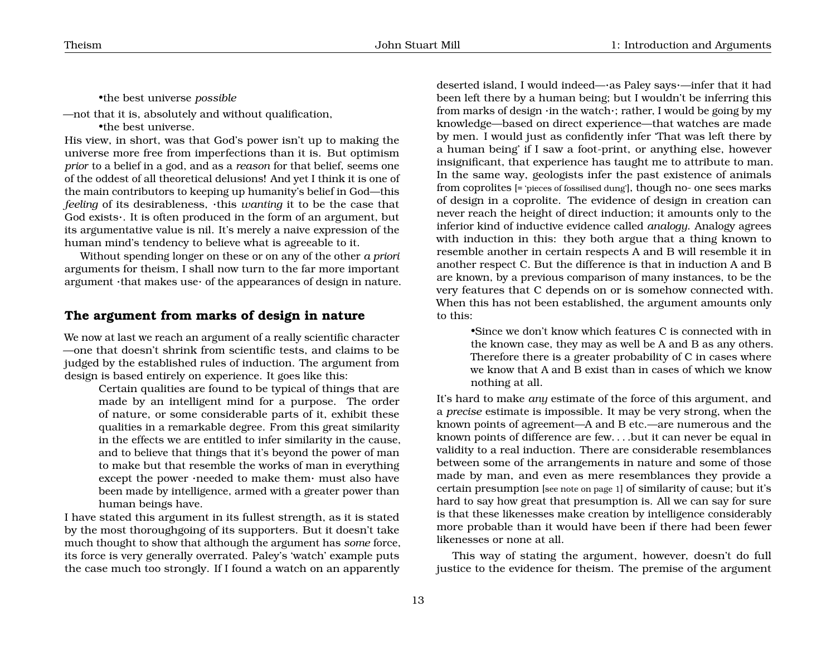•the best universe *possible*

—not that it is, absolutely and without qualification,

•the best universe.

His view, in short, was that God's power isn't up to making the universe more free from imperfections than it is. But optimism *prior* to a belief in a god, and as a *reason* for that belief, seems one of the oddest of all theoretical delusions! And yet I think it is one of the main contributors to keeping up humanity's belief in God—this *feeling* of its desirableness, ·this *wanting* it to be the case that God exists·. It is often produced in the form of an argument, but its argumentative value is nil. It's merely a naive expression of the human mind's tendency to believe what is agreeable to it.

Without spending longer on these or on any of the other *a priori* arguments for theism, I shall now turn to the far more important argument ·that makes use· of the appearances of design in nature.

#### <span id="page-13-0"></span>**The argument from marks of design in nature**

We now at last we reach an argument of a really scientific character —one that doesn't shrink from scientific tests, and claims to be judged by the established rules of induction. The argument from design is based entirely on experience. It goes like this:

> Certain qualities are found to be typical of things that are made by an intelligent mind for a purpose. The order of nature, or some considerable parts of it, exhibit these qualities in a remarkable degree. From this great similarity in the effects we are entitled to infer similarity in the cause, and to believe that things that it's beyond the power of man to make but that resemble the works of man in everything except the power ·needed to make them· must also have been made by intelligence, armed with a greater power than human beings have.

I have stated this argument in its fullest strength, as it is stated by the most thoroughgoing of its supporters. But it doesn't take much thought to show that although the argument has *some* force, its force is very generally overrated. Paley's 'watch' example puts the case much too strongly. If I found a watch on an apparently

deserted island, I would indeed—·as Paley says·—infer that it had been left there by a human being; but I wouldn't be inferring this from marks of design ·in the watch·; rather, I would be going by my knowledge—based on direct experience—that watches are made by men. I would just as confidently infer 'That was left there by a human being' if I saw a foot-print, or anything else, however insignificant, that experience has taught me to attribute to man. In the same way, geologists infer the past existence of animals from coprolites [= 'pieces of fossilised dung'], though no- one sees marks of design in a coprolite. The evidence of design in creation can never reach the height of direct induction; it amounts only to the inferior kind of inductive evidence called *analogy*. Analogy agrees with induction in this: they both argue that a thing known to resemble another in certain respects A and B will resemble it in another respect C. But the difference is that in induction A and B are known, by a previous comparison of many instances, to be the very features that C depends on or is somehow connected with. When this has not been established, the argument amounts only to this:

> •Since we don't know which features C is connected with in the known case, they may as well be A and B as any others. Therefore there is a greater probability of C in cases where we know that A and B exist than in cases of which we know nothing at all.

It's hard to make *any* estimate of the force of this argument, and a *precise* estimate is impossible. It may be very strong, when the known points of agreement—A and B etc.—are numerous and the known points of difference are few. . . .but it can never be equal in validity to a real induction. There are considerable resemblances between some of the arrangements in nature and some of those made by man, and even as mere resemblances they provide a certain presumption [see note on page [1](#page-1-0)] of similarity of cause; but it's hard to say how great that presumption is. All we can say for sure is that these likenesses make creation by intelligence considerably more probable than it would have been if there had been fewer likenesses or none at all.

This way of stating the argument, however, doesn't do full justice to the evidence for theism. The premise of the argument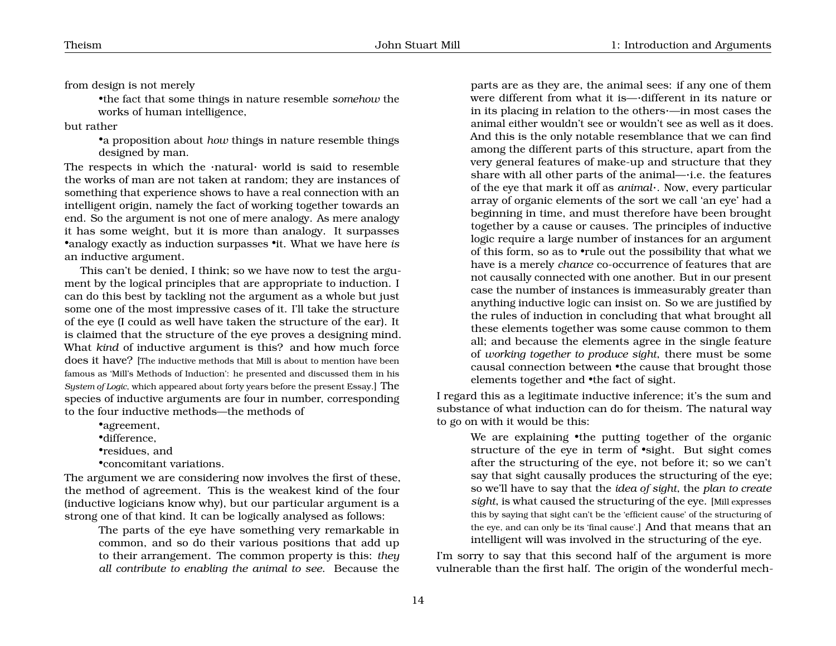from design is not merely

•the fact that some things in nature resemble *somehow* the works of human intelligence,

but rather

•a proposition about *how* things in nature resemble things designed by man.

The respects in which the ·natural· world is said to resemble the works of man are not taken at random; they are instances of something that experience shows to have a real connection with an intelligent origin, namely the fact of working together towards an end. So the argument is not one of mere analogy. As mere analogy it has some weight, but it is more than analogy. It surpasses •analogy exactly as induction surpasses •it. What we have here *is* an inductive argument.

This can't be denied, I think; so we have now to test the argument by the logical principles that are appropriate to induction. I can do this best by tackling not the argument as a whole but just some one of the most impressive cases of it. I'll take the structure of the eye (I could as well have taken the structure of the ear). It is claimed that the structure of the eye proves a designing mind. What *kind* of inductive argument is this? and how much force does it have? [The inductive methods that Mill is about to mention have been famous as 'Mill's Methods of Induction': he presented and discussed them in his *System of Logic*, which appeared about forty years before the present Essay.] The species of inductive arguments are four in number, corresponding to the four inductive methods—the methods of

•agreement,

•difference,

•residues, and

•concomitant variations.

The argument we are considering now involves the first of these, the method of agreement. This is the weakest kind of the four (inductive logicians know why), but our particular argument is a strong one of that kind. It can be logically analysed as follows:

The parts of the eye have something very remarkable in common, and so do their various positions that add up to their arrangement. The common property is this: *they all contribute to enabling the animal to see*. Because the

parts are as they are, the animal sees: if any one of them were different from what it is—·different in its nature or in its placing in relation to the others·—in most cases the animal either wouldn't see or wouldn't see as well as it does. And this is the only notable resemblance that we can find among the different parts of this structure, apart from the very general features of make-up and structure that they share with all other parts of the animal—·i.e. the features of the eye that mark it off as *animal*·. Now, every particular array of organic elements of the sort we call 'an eye' had a beginning in time, and must therefore have been brought together by a cause or causes. The principles of inductive logic require a large number of instances for an argument of this form, so as to •rule out the possibility that what we have is a merely *chance* co-occurrence of features that are not causally connected with one another. But in our present case the number of instances is immeasurably greater than anything inductive logic can insist on. So we are justified by the rules of induction in concluding that what brought all these elements together was some cause common to them all; and because the elements agree in the single feature of *working together to produce sight*, there must be some causal connection between •the cause that brought those elements together and •the fact of sight.

I regard this as a legitimate inductive inference; it's the sum and substance of what induction can do for theism. The natural way to go on with it would be this:

We are explaining •the putting together of the organic structure of the eye in term of •sight. But sight comes after the structuring of the eye, not before it; so we can't say that sight causally produces the structuring of the eye; so we'll have to say that the *idea of sight*, the *plan to create sight*, is what caused the structuring of the eye. [Mill expresses this by saying that sight can't be the 'efficient cause' of the structuring of the eye, and can only be its 'final cause'.] And that means that an intelligent will was involved in the structuring of the eye.

I'm sorry to say that this second half of the argument is more vulnerable than the first half. The origin of the wonderful mech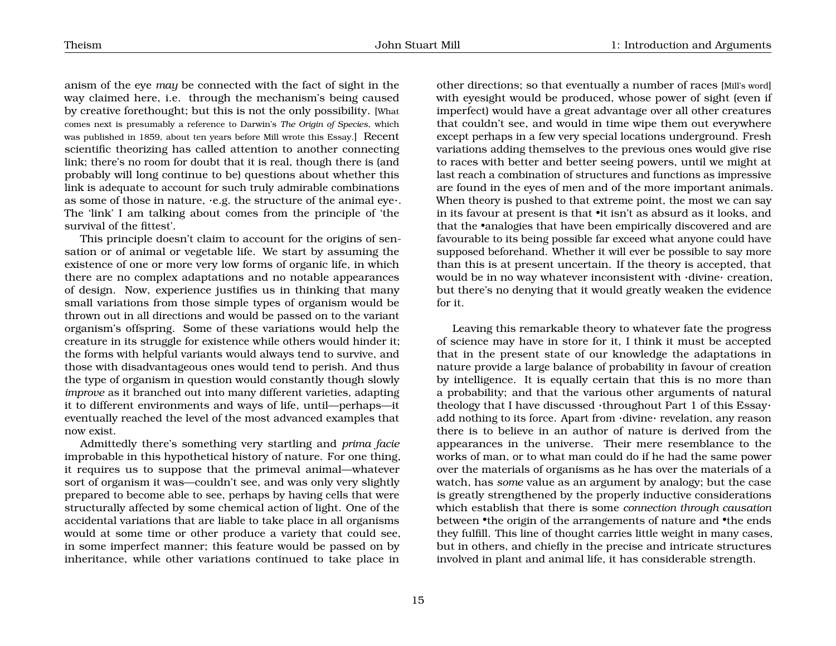anism of the eye *may* be connected with the fact of sight in the way claimed here, i.e. through the mechanism's being caused by creative forethought; but this is not the only possibility. [What comes next is presumably a reference to Darwin's *The Origin of Species*, which was published in 1859, about ten years before Mill wrote this Essay.] Recent scientific theorizing has called attention to another connecting link; there's no room for doubt that it is real, though there is (and probably will long continue to be) questions about whether this link is adequate to account for such truly admirable combinations as some of those in nature, ·e.g. the structure of the animal eye·. The 'link' I am talking about comes from the principle of 'the survival of the fittest'.

This principle doesn't claim to account for the origins of sensation or of animal or vegetable life. We start by assuming the existence of one or more very low forms of organic life, in which there are no complex adaptations and no notable appearances of design. Now, experience justifies us in thinking that many small variations from those simple types of organism would be thrown out in all directions and would be passed on to the variant organism's offspring. Some of these variations would help the creature in its struggle for existence while others would hinder it; the forms with helpful variants would always tend to survive, and those with disadvantageous ones would tend to perish. And thus the type of organism in question would constantly though slowly *improve* as it branched out into many different varieties, adapting it to different environments and ways of life, until—perhaps—it eventually reached the level of the most advanced examples that now exist.

Admittedly there's something very startling and *prima facie* improbable in this hypothetical history of nature. For one thing, it requires us to suppose that the primeval animal—whatever sort of organism it was—couldn't see, and was only very slightly prepared to become able to see, perhaps by having cells that were structurally affected by some chemical action of light. One of the accidental variations that are liable to take place in all organisms would at some time or other produce a variety that could see, in some imperfect manner; this feature would be passed on by inheritance, while other variations continued to take place in

other directions; so that eventually a number of races [Mill's word] with eyesight would be produced, whose power of sight (even if imperfect) would have a great advantage over all other creatures that couldn't see, and would in time wipe them out everywhere except perhaps in a few very special locations underground. Fresh variations adding themselves to the previous ones would give rise to races with better and better seeing powers, until we might at last reach a combination of structures and functions as impressive are found in the eyes of men and of the more important animals. When theory is pushed to that extreme point, the most we can say in its favour at present is that •it isn't as absurd as it looks, and that the •analogies that have been empirically discovered and are favourable to its being possible far exceed what anyone could have supposed beforehand. Whether it will ever be possible to say more than this is at present uncertain. If the theory is accepted, that would be in no way whatever inconsistent with ·divine· creation, but there's no denying that it would greatly weaken the evidence for it.

Leaving this remarkable theory to whatever fate the progress of science may have in store for it, I think it must be accepted that in the present state of our knowledge the adaptations in nature provide a large balance of probability in favour of creation by intelligence. It is equally certain that this is no more than a probability; and that the various other arguments of natural theology that I have discussed ·throughout Part 1 of this Essay· add nothing to its force. Apart from ·divine· revelation, any reason there is to believe in an author of nature is derived from the appearances in the universe. Their mere resemblance to the works of man, or to what man could do if he had the same power over the materials of organisms as he has over the materials of a watch, has *some* value as an argument by analogy; but the case is greatly strengthened by the properly inductive considerations which establish that there is some *connection through causation* between •the origin of the arrangements of nature and •the ends they fulfill. This line of thought carries little weight in many cases, but in others, and chiefly in the precise and intricate structures involved in plant and animal life, it has considerable strength.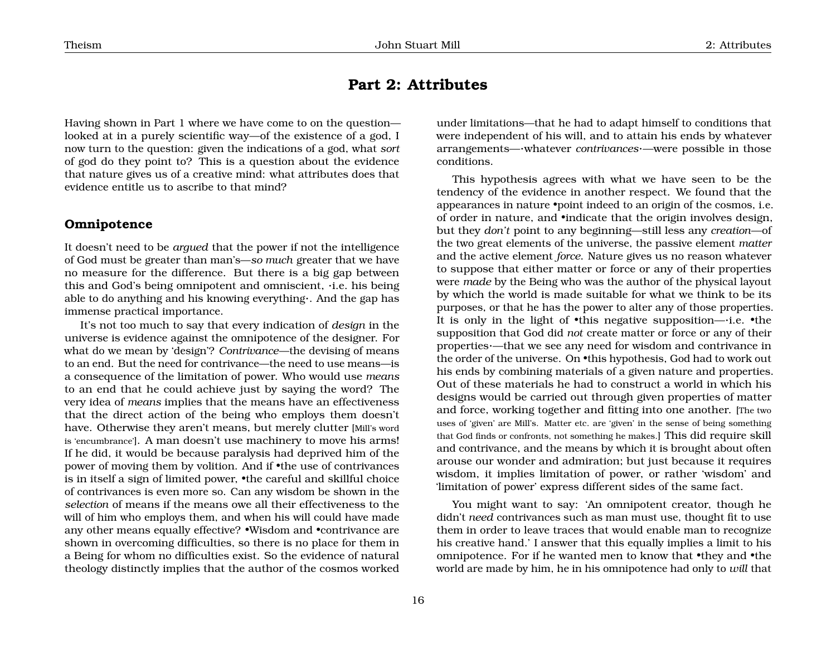## <span id="page-16-0"></span>**Part 2: Attributes**

Having shown in Part 1 where we have come to on the question looked at in a purely scientific way—of the existence of a god, I now turn to the question: given the indications of a god, what *sort* of god do they point to? This is a question about the evidence that nature gives us of a creative mind: what attributes does that evidence entitle us to ascribe to that mind?

### <span id="page-16-1"></span>**Omnipotence**

It doesn't need to be *argued* that the power if not the intelligence of God must be greater than man's—*so much* greater that we have no measure for the difference. But there is a big gap between this and God's being omnipotent and omniscient, ·i.e. his being able to do anything and his knowing everything·. And the gap has immense practical importance.

It's not too much to say that every indication of *design* in the universe is evidence against the omnipotence of the designer. For what do we mean by 'design'? *Contrivance*—the devising of means to an end. But the need for contrivance—the need to use means—is a consequence of the limitation of power. Who would use *means* to an end that he could achieve just by saying the word? The very idea of *means* implies that the means have an effectiveness that the direct action of the being who employs them doesn't have. Otherwise they aren't means, but merely clutter [Mill's word is 'encumbrance']. A man doesn't use machinery to move his arms! If he did, it would be because paralysis had deprived him of the power of moving them by volition. And if •the use of contrivances is in itself a sign of limited power, •the careful and skillful choice of contrivances is even more so. Can any wisdom be shown in the *selection* of means if the means owe all their effectiveness to the will of him who employs them, and when his will could have made any other means equally effective? •Wisdom and •contrivance are shown in overcoming difficulties, so there is no place for them in a Being for whom no difficulties exist. So the evidence of natural theology distinctly implies that the author of the cosmos worked

under limitations—that he had to adapt himself to conditions that were independent of his will, and to attain his ends by whatever arrangements—·whatever *contrivances*·—were possible in those conditions.

This hypothesis agrees with what we have seen to be the tendency of the evidence in another respect. We found that the appearances in nature •point indeed to an origin of the cosmos, i.e. of order in nature, and •indicate that the origin involves design, but they *don't* point to any beginning—still less any *creation*—of the two great elements of the universe, the passive element *matter* and the active element *force*. Nature gives us no reason whatever to suppose that either matter or force or any of their properties were *made* by the Being who was the author of the physical layout by which the world is made suitable for what we think to be its purposes, or that he has the power to alter any of those properties. It is only in the light of •this negative supposition—·i.e. •the supposition that God did *not* create matter or force or any of their properties·—that we see any need for wisdom and contrivance in the order of the universe. On •this hypothesis, God had to work out his ends by combining materials of a given nature and properties. Out of these materials he had to construct a world in which his designs would be carried out through given properties of matter and force, working together and fitting into one another. [The two uses of 'given' are Mill's. Matter etc. are 'given' in the sense of being something that God finds or confronts, not something he makes.] This did require skill and contrivance, and the means by which it is brought about often arouse our wonder and admiration; but just because it requires wisdom, it implies limitation of power, or rather 'wisdom' and 'limitation of power' express different sides of the same fact.

You might want to say: 'An omnipotent creator, though he didn't *need* contrivances such as man must use, thought fit to use them in order to leave traces that would enable man to recognize his creative hand.' I answer that this equally implies a limit to his omnipotence. For if he wanted men to know that •they and •the world are made by him, he in his omnipotence had only to *will* that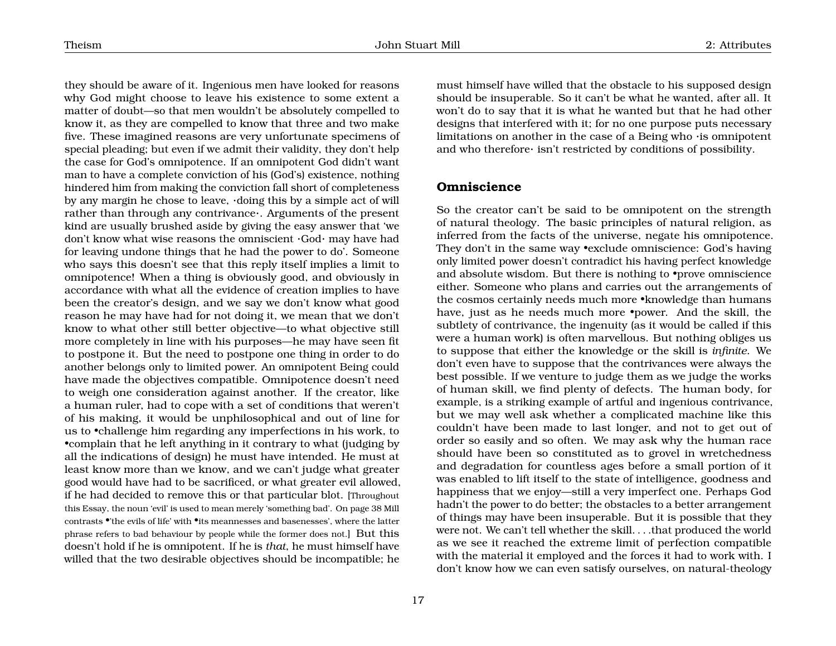they should be aware of it. Ingenious men have looked for reasons why God might choose to leave his existence to some extent a matter of doubt—so that men wouldn't be absolutely compelled to know it, as they are compelled to know that three and two make five. These imagined reasons are very unfortunate specimens of special pleading; but even if we admit their validity, they don't help the case for God's omnipotence. If an omnipotent God didn't want man to have a complete conviction of his (God's) existence, nothing hindered him from making the conviction fall short of completeness by any margin he chose to leave, ·doing this by a simple act of will rather than through any contrivance·. Arguments of the present kind are usually brushed aside by giving the easy answer that 'we don't know what wise reasons the omniscient ·God· may have had for leaving undone things that he had the power to do'. Someone who says this doesn't see that this reply itself implies a limit to omnipotence! When a thing is obviously good, and obviously in accordance with what all the evidence of creation implies to have been the creator's design, and we say we don't know what good reason he may have had for not doing it, we mean that we don't know to what other still better objective—to what objective still more completely in line with his purposes—he may have seen fit to postpone it. But the need to postpone one thing in order to do another belongs only to limited power. An omnipotent Being could have made the objectives compatible. Omnipotence doesn't need to weigh one consideration against another. If the creator, like a human ruler, had to cope with a set of conditions that weren't of his making, it would be unphilosophical and out of line for us to •challenge him regarding any imperfections in his work, to •complain that he left anything in it contrary to what (judging by all the indications of design) he must have intended. He must at least know more than we know, and we can't judge what greater good would have had to be sacrificed, or what greater evil allowed, if he had decided to remove this or that particular blot. [Throughout this Essay, the noun 'evil' is used to mean merely 'something bad'. On page [38](#page-36-0) Mill contrasts •'the evils of life' with •its meannesses and basenesses', where the latter phrase refers to bad behaviour by people while the former does not.] But this doesn't hold if he is omnipotent. If he is *that*, he must himself have willed that the two desirable objectives should be incompatible; he

must himself have willed that the obstacle to his supposed design should be insuperable. So it can't be what he wanted, after all. It won't do to say that it is what he wanted but that he had other designs that interfered with it; for no one purpose puts necessary limitations on another in the case of a Being who ·is omnipotent and who therefore· isn't restricted by conditions of possibility.

### <span id="page-17-0"></span>**Omniscience**

So the creator can't be said to be omnipotent on the strength of natural theology. The basic principles of natural religion, as inferred from the facts of the universe, negate his omnipotence. They don't in the same way •exclude omniscience: God's having only limited power doesn't contradict his having perfect knowledge and absolute wisdom. But there is nothing to •prove omniscience either. Someone who plans and carries out the arrangements of the cosmos certainly needs much more •knowledge than humans have, just as he needs much more •power. And the skill, the subtlety of contrivance, the ingenuity (as it would be called if this were a human work) is often marvellous. But nothing obliges us to suppose that either the knowledge or the skill is *infinite*. We don't even have to suppose that the contrivances were always the best possible. If we venture to judge them as we judge the works of human skill, we find plenty of defects. The human body, for example, is a striking example of artful and ingenious contrivance, but we may well ask whether a complicated machine like this couldn't have been made to last longer, and not to get out of order so easily and so often. We may ask why the human race should have been so constituted as to grovel in wretchedness and degradation for countless ages before a small portion of it was enabled to lift itself to the state of intelligence, goodness and happiness that we enjoy—still a very imperfect one. Perhaps God hadn't the power to do better; the obstacles to a better arrangement of things may have been insuperable. But it is possible that they were not. We can't tell whether the skill. . . .that produced the world as we see it reached the extreme limit of perfection compatible with the material it employed and the forces it had to work with. I don't know how we can even satisfy ourselves, on natural-theology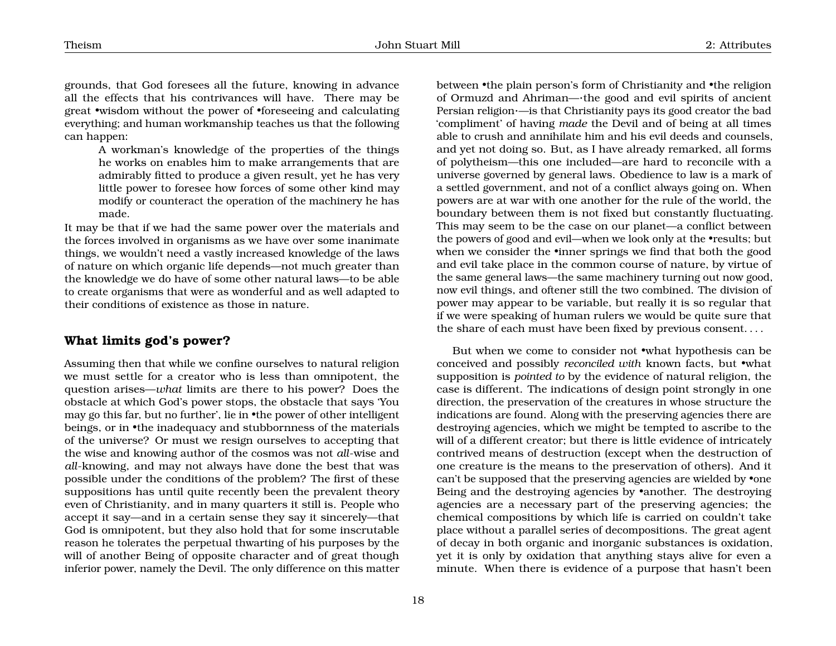grounds, that God foresees all the future, knowing in advance all the effects that his contrivances will have. There may be great •wisdom without the power of •foreseeing and calculating everything; and human workmanship teaches us that the following can happen:

A workman's knowledge of the properties of the things he works on enables him to make arrangements that are admirably fitted to produce a given result, yet he has very little power to foresee how forces of some other kind may modify or counteract the operation of the machinery he has made.

It may be that if we had the same power over the materials and the forces involved in organisms as we have over some inanimate things, we wouldn't need a vastly increased knowledge of the laws of nature on which organic life depends—not much greater than the knowledge we do have of some other natural laws—to be able to create organisms that were as wonderful and as well adapted to their conditions of existence as those in nature.

### <span id="page-18-0"></span>**What limits god's power?**

Assuming then that while we confine ourselves to natural religion we must settle for a creator who is less than omnipotent, the question arises—*what* limits are there to his power? Does the obstacle at which God's power stops, the obstacle that says 'You may go this far, but no further', lie in •the power of other intelligent beings, or in •the inadequacy and stubbornness of the materials of the universe? Or must we resign ourselves to accepting that the wise and knowing author of the cosmos was not *all*-wise and *all*-knowing, and may not always have done the best that was possible under the conditions of the problem? The first of these suppositions has until quite recently been the prevalent theory even of Christianity, and in many quarters it still is. People who accept it say—and in a certain sense they say it sincerely—that God is omnipotent, but they also hold that for some inscrutable reason he tolerates the perpetual thwarting of his purposes by the will of another Being of opposite character and of great though inferior power, namely the Devil. The only difference on this matter

between •the plain person's form of Christianity and •the religion of Ormuzd and Ahriman—·the good and evil spirits of ancient Persian religion·—is that Christianity pays its good creator the bad 'compliment' of having *made* the Devil and of being at all times able to crush and annihilate him and his evil deeds and counsels, and yet not doing so. But, as I have already remarked, all forms of polytheism—this one included—are hard to reconcile with a universe governed by general laws. Obedience to law is a mark of a settled government, and not of a conflict always going on. When powers are at war with one another for the rule of the world, the boundary between them is not fixed but constantly fluctuating. This may seem to be the case on our planet—a conflict between the powers of good and evil—when we look only at the •results; but when we consider the •inner springs we find that both the good and evil take place in the common course of nature, by virtue of the same general laws—the same machinery turning out now good, now evil things, and oftener still the two combined. The division of power may appear to be variable, but really it is so regular that if we were speaking of human rulers we would be quite sure that the share of each must have been fixed by previous consent. . . .

But when we come to consider not •what hypothesis can be conceived and possibly *reconciled with* known facts, but •what supposition is *pointed to* by the evidence of natural religion, the case is different. The indications of design point strongly in one direction, the preservation of the creatures in whose structure the indications are found. Along with the preserving agencies there are destroying agencies, which we might be tempted to ascribe to the will of a different creator; but there is little evidence of intricately contrived means of destruction (except when the destruction of one creature is the means to the preservation of others). And it can't be supposed that the preserving agencies are wielded by •one Being and the destroying agencies by •another. The destroying agencies are a necessary part of the preserving agencies; the chemical compositions by which life is carried on couldn't take place without a parallel series of decompositions. The great agent of decay in both organic and inorganic substances is oxidation, yet it is only by oxidation that anything stays alive for even a minute. When there is evidence of a purpose that hasn't been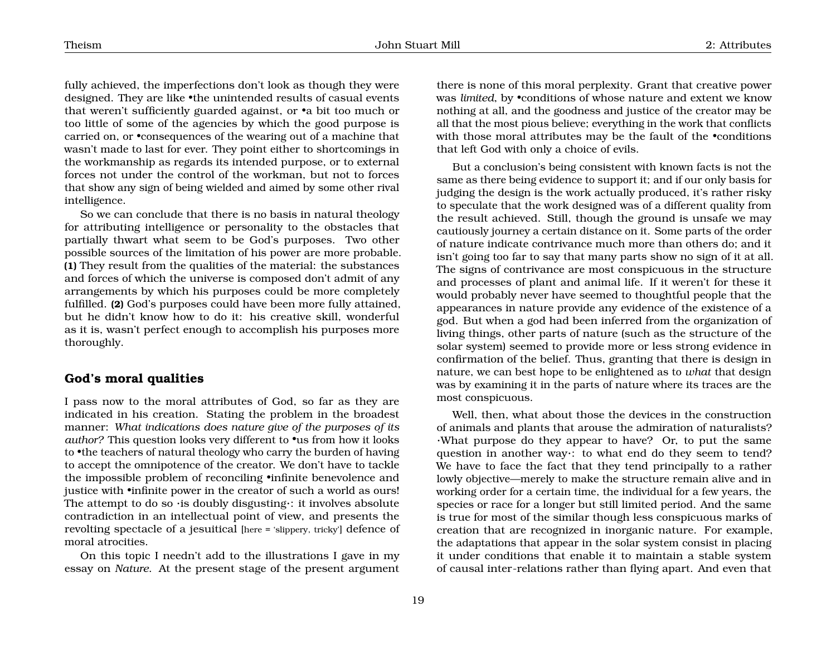fully achieved, the imperfections don't look as though they were designed. They are like •the unintended results of casual events that weren't sufficiently guarded against, or •a bit too much or too little of some of the agencies by which the good purpose is carried on, or •consequences of the wearing out of a machine that wasn't made to last for ever. They point either to shortcomings in the workmanship as regards its intended purpose, or to external forces not under the control of the workman, but not to forces that show any sign of being wielded and aimed by some other rival intelligence.

So we can conclude that there is no basis in natural theology for attributing intelligence or personality to the obstacles that partially thwart what seem to be God's purposes. Two other possible sources of the limitation of his power are more probable. **(1)** They result from the qualities of the material: the substances and forces of which the universe is composed don't admit of any arrangements by which his purposes could be more completely fulfilled. **(2)** God's purposes could have been more fully attained, but he didn't know how to do it: his creative skill, wonderful as it is, wasn't perfect enough to accomplish his purposes more thoroughly.

### <span id="page-19-0"></span>**God's moral qualities**

I pass now to the moral attributes of God, so far as they are indicated in his creation. Stating the problem in the broadest manner: *What indications does nature give of the purposes of its author?* This question looks very different to •us from how it looks to •the teachers of natural theology who carry the burden of having to accept the omnipotence of the creator. We don't have to tackle the impossible problem of reconciling •infinite benevolence and justice with •infinite power in the creator of such a world as ours! The attempt to do so  $\cdot$  is doubly disgusting $\cdot$ : it involves absolute contradiction in an intellectual point of view, and presents the revolting spectacle of a jesuitical [here = 'slippery, tricky'] defence of moral atrocities.

On this topic I needn't add to the illustrations I gave in my essay on *Nature*. At the present stage of the present argument

there is none of this moral perplexity. Grant that creative power was *limited*, by •conditions of whose nature and extent we know nothing at all, and the goodness and justice of the creator may be all that the most pious believe; everything in the work that conflicts with those moral attributes may be the fault of the *•*conditions that left God with only a choice of evils.

But a conclusion's being consistent with known facts is not the same as there being evidence to support it; and if our only basis for judging the design is the work actually produced, it's rather risky to speculate that the work designed was of a different quality from the result achieved. Still, though the ground is unsafe we may cautiously journey a certain distance on it. Some parts of the order of nature indicate contrivance much more than others do; and it isn't going too far to say that many parts show no sign of it at all. The signs of contrivance are most conspicuous in the structure and processes of plant and animal life. If it weren't for these it would probably never have seemed to thoughtful people that the appearances in nature provide any evidence of the existence of a god. But when a god had been inferred from the organization of living things, other parts of nature (such as the structure of the solar system) seemed to provide more or less strong evidence in confirmation of the belief. Thus, granting that there is design in nature, we can best hope to be enlightened as to *what* that design was by examining it in the parts of nature where its traces are the most conspicuous.

Well, then, what about those the devices in the construction of animals and plants that arouse the admiration of naturalists? ·What purpose do they appear to have? Or, to put the same question in another way·: to what end do they seem to tend? We have to face the fact that they tend principally to a rather lowly objective—merely to make the structure remain alive and in working order for a certain time, the individual for a few years, the species or race for a longer but still limited period. And the same is true for most of the similar though less conspicuous marks of creation that are recognized in inorganic nature. For example, the adaptations that appear in the solar system consist in placing it under conditions that enable it to maintain a stable system of causal inter-relations rather than flying apart. And even that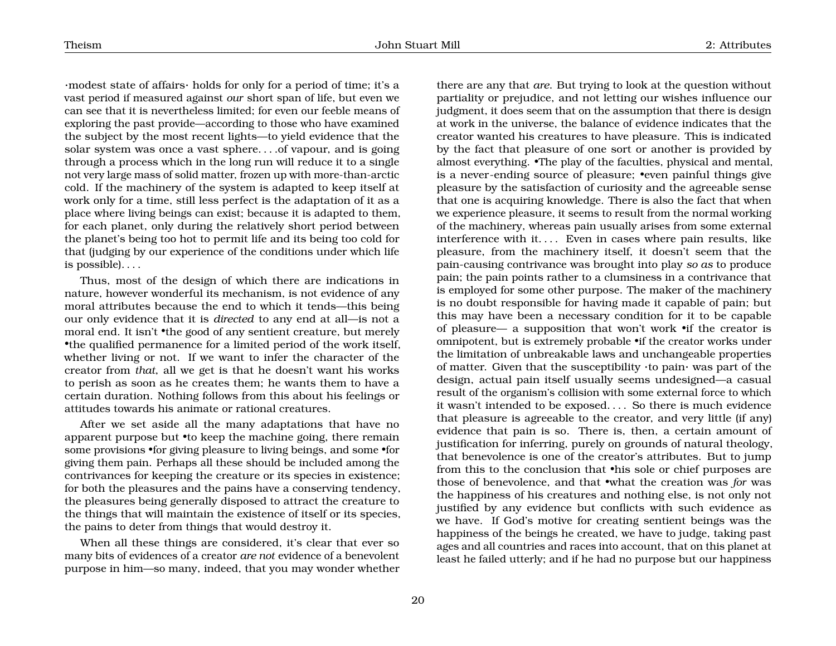·modest state of affairs· holds for only for a period of time; it's a vast period if measured against *our* short span of life, but even we can see that it is nevertheless limited; for even our feeble means of exploring the past provide—according to those who have examined the subject by the most recent lights—to yield evidence that the solar system was once a vast sphere. . . .of vapour, and is going through a process which in the long run will reduce it to a single not very large mass of solid matter, frozen up with more-than-arctic cold. If the machinery of the system is adapted to keep itself at work only for a time, still less perfect is the adaptation of it as a place where living beings can exist; because it is adapted to them, for each planet, only during the relatively short period between the planet's being too hot to permit life and its being too cold for that (judging by our experience of the conditions under which life is possible). . . .

Thus, most of the design of which there are indications in nature, however wonderful its mechanism, is not evidence of any moral attributes because the end to which it tends—this being our only evidence that it is *directed* to any end at all—is not a moral end. It isn't •the good of any sentient creature, but merely •the qualified permanence for a limited period of the work itself, whether living or not. If we want to infer the character of the creator from *that*, all we get is that he doesn't want his works to perish as soon as he creates them; he wants them to have a certain duration. Nothing follows from this about his feelings or attitudes towards his animate or rational creatures.

After we set aside all the many adaptations that have no apparent purpose but •to keep the machine going, there remain some provisions •for giving pleasure to living beings, and some •for giving them pain. Perhaps all these should be included among the contrivances for keeping the creature or its species in existence; for both the pleasures and the pains have a conserving tendency, the pleasures being generally disposed to attract the creature to the things that will maintain the existence of itself or its species, the pains to deter from things that would destroy it.

When all these things are considered, it's clear that ever so many bits of evidences of a creator *are not* evidence of a benevolent purpose in him—so many, indeed, that you may wonder whether

there are any that *are*. But trying to look at the question without partiality or prejudice, and not letting our wishes influence our judgment, it does seem that on the assumption that there is design at work in the universe, the balance of evidence indicates that the creator wanted his creatures to have pleasure. This is indicated by the fact that pleasure of one sort or another is provided by almost everything. •The play of the faculties, physical and mental, is a never-ending source of pleasure; •even painful things give pleasure by the satisfaction of curiosity and the agreeable sense that one is acquiring knowledge. There is also the fact that when we experience pleasure, it seems to result from the normal working of the machinery, whereas pain usually arises from some external interference with it.... Even in cases where pain results, like pleasure, from the machinery itself, it doesn't seem that the pain-causing contrivance was brought into play *so as* to produce pain; the pain points rather to a clumsiness in a contrivance that is employed for some other purpose. The maker of the machinery is no doubt responsible for having made it capable of pain; but this may have been a necessary condition for it to be capable of pleasure— a supposition that won't work •if the creator is omnipotent, but is extremely probable •if the creator works under the limitation of unbreakable laws and unchangeable properties of matter. Given that the susceptibility ·to pain· was part of the design, actual pain itself usually seems undesigned—a casual result of the organism's collision with some external force to which it wasn't intended to be exposed. . . . So there is much evidence that pleasure is agreeable to the creator, and very little (if any) evidence that pain is so. There is, then, a certain amount of justification for inferring, purely on grounds of natural theology, that benevolence is one of the creator's attributes. But to jump from this to the conclusion that •his sole or chief purposes are those of benevolence, and that •what the creation was *for* was the happiness of his creatures and nothing else, is not only not justified by any evidence but conflicts with such evidence as we have. If God's motive for creating sentient beings was the happiness of the beings he created, we have to judge, taking past ages and all countries and races into account, that on this planet at least he failed utterly; and if he had no purpose but our happiness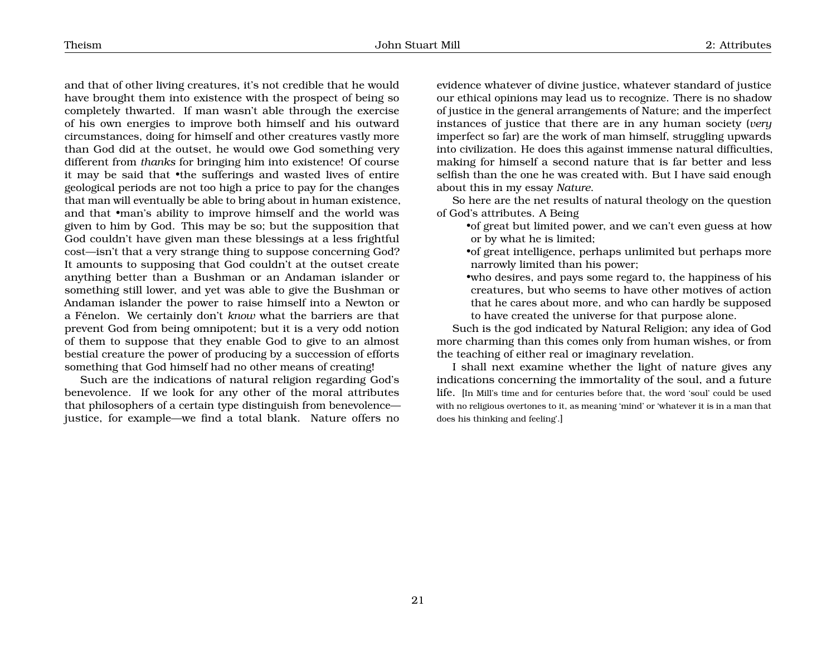and that of other living creatures, it's not credible that he would have brought them into existence with the prospect of being so completely thwarted. If man wasn't able through the exercise of his own energies to improve both himself and his outward circumstances, doing for himself and other creatures vastly more than God did at the outset, he would owe God something very different from *thanks* for bringing him into existence! Of course it may be said that •the sufferings and wasted lives of entire geological periods are not too high a price to pay for the changes that man will eventually be able to bring about in human existence, and that •man's ability to improve himself and the world was given to him by God. This may be so; but the supposition that God couldn't have given man these blessings at a less frightful cost—isn't that a very strange thing to suppose concerning God? It amounts to supposing that God couldn't at the outset create anything better than a Bushman or an Andaman islander or something still lower, and yet was able to give the Bushman or Andaman islander the power to raise himself into a Newton or a Fénelon. We certainly don't *know* what the barriers are that prevent God from being omnipotent; but it is a very odd notion of them to suppose that they enable God to give to an almost bestial creature the power of producing by a succession of efforts something that God himself had no other means of creating!

Such are the indications of natural religion regarding God's benevolence. If we look for any other of the moral attributes that philosophers of a certain type distinguish from benevolence justice, for example—we find a total blank. Nature offers no

evidence whatever of divine justice, whatever standard of justice our ethical opinions may lead us to recognize. There is no shadow of justice in the general arrangements of Nature; and the imperfect instances of justice that there are in any human society (*very* imperfect so far) are the work of man himself, struggling upwards into civilization. He does this against immense natural difficulties, making for himself a second nature that is far better and less selfish than the one he was created with. But I have said enough about this in my essay *Nature*.

So here are the net results of natural theology on the question of God's attributes. A Being

- •of great but limited power, and we can't even guess at how or by what he is limited;
- •of great intelligence, perhaps unlimited but perhaps more narrowly limited than his power;
- •who desires, and pays some regard to, the happiness of his creatures, but who seems to have other motives of action that he cares about more, and who can hardly be supposed to have created the universe for that purpose alone.

Such is the god indicated by Natural Religion; any idea of God more charming than this comes only from human wishes, or from the teaching of either real or imaginary revelation.

I shall next examine whether the light of nature gives any indications concerning the immortality of the soul, and a future life. [In Mill's time and for centuries before that, the word 'soul' could be used with no religious overtones to it, as meaning 'mind' or 'whatever it is in a man that does his thinking and feeling'.]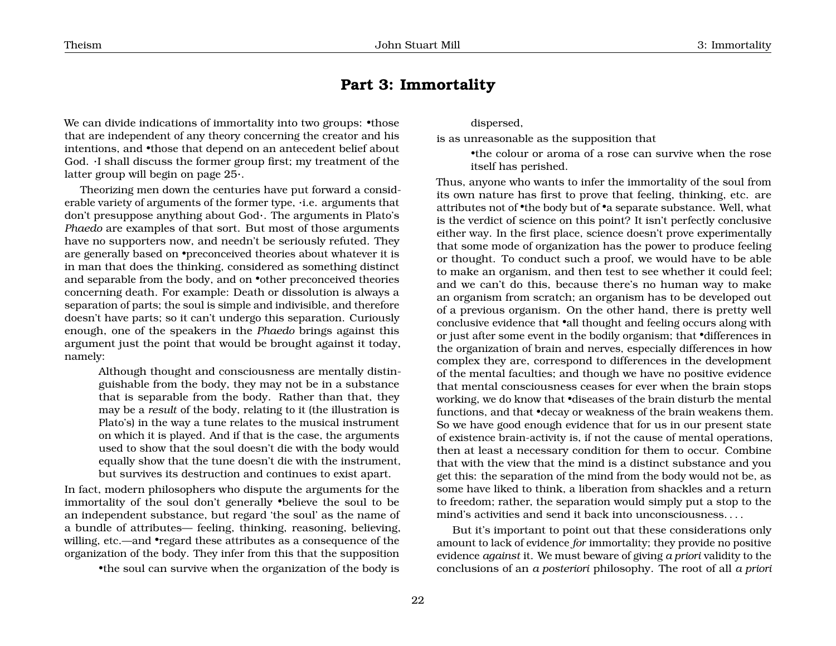## <span id="page-22-0"></span>**Part 3: Immortality**

We can divide indications of immortality into two groups: •those that are independent of any theory concerning the creator and his intentions, and •those that depend on an antecedent belief about God. ·I shall discuss the former group first; my treatment of the latter group will begin on page [25](#page-22-0)·.

Theorizing men down the centuries have put forward a considerable variety of arguments of the former type, ·i.e. arguments that don't presuppose anything about God·. The arguments in Plato's *Phaedo* are examples of that sort. But most of those arguments have no supporters now, and needn't be seriously refuted. They are generally based on •preconceived theories about whatever it is in man that does the thinking, considered as something distinct and separable from the body, and on **•**other preconceived theories concerning death. For example: Death or dissolution is always a separation of parts; the soul is simple and indivisible, and therefore doesn't have parts; so it can't undergo this separation. Curiously enough, one of the speakers in the *Phaedo* brings against this argument just the point that would be brought against it today, namely:

Although thought and consciousness are mentally distinguishable from the body, they may not be in a substance that is separable from the body. Rather than that, they may be a *result* of the body, relating to it (the illustration is Plato's) in the way a tune relates to the musical instrument on which it is played. And if that is the case, the arguments used to show that the soul doesn't die with the body would equally show that the tune doesn't die with the instrument, but survives its destruction and continues to exist apart.

In fact, modern philosophers who dispute the arguments for the immortality of the soul don't generally •believe the soul to be an independent substance, but regard 'the soul' as the name of a bundle of attributes— feeling, thinking, reasoning, believing, willing, etc.—and •regard these attributes as a consequence of the organization of the body. They infer from this that the supposition

•the soul can survive when the organization of the body is

dispersed,

is as unreasonable as the supposition that

•the colour or aroma of a rose can survive when the rose itself has perished.

Thus, anyone who wants to infer the immortality of the soul from its own nature has first to prove that feeling, thinking, etc. are attributes not of •the body but of •a separate substance. Well, what is the verdict of science on this point? It isn't perfectly conclusive either way. In the first place, science doesn't prove experimentally that some mode of organization has the power to produce feeling or thought. To conduct such a proof, we would have to be able to make an organism, and then test to see whether it could feel; and we can't do this, because there's no human way to make an organism from scratch; an organism has to be developed out of a previous organism. On the other hand, there is pretty well conclusive evidence that •all thought and feeling occurs along with or just after some event in the bodily organism; that •differences in the organization of brain and nerves, especially differences in how complex they are, correspond to differences in the development of the mental faculties; and though we have no positive evidence that mental consciousness ceases for ever when the brain stops working, we do know that •diseases of the brain disturb the mental functions, and that •decay or weakness of the brain weakens them. So we have good enough evidence that for us in our present state of existence brain-activity is, if not the cause of mental operations, then at least a necessary condition for them to occur. Combine that with the view that the mind is a distinct substance and you get this: the separation of the mind from the body would not be, as some have liked to think, a liberation from shackles and a return to freedom; rather, the separation would simply put a stop to the mind's activities and send it back into unconsciousness. . . .

But it's important to point out that these considerations only amount to lack of evidence *for* immortality; they provide no positive evidence *against* it. We must beware of giving *a priori* validity to the conclusions of an *a posteriori* philosophy. The root of all *a priori*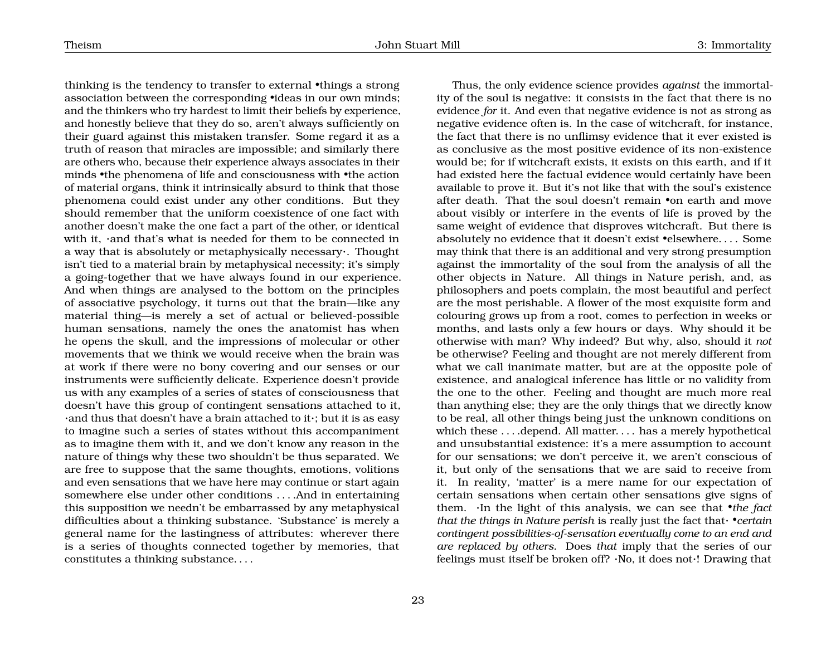thinking is the tendency to transfer to external •things a strong association between the corresponding •ideas in our own minds; and the thinkers who try hardest to limit their beliefs by experience, and honestly believe that they do so, aren't always sufficiently on their guard against this mistaken transfer. Some regard it as a truth of reason that miracles are impossible; and similarly there are others who, because their experience always associates in their minds •the phenomena of life and consciousness with •the action of material organs, think it intrinsically absurd to think that those phenomena could exist under any other conditions. But they should remember that the uniform coexistence of one fact with another doesn't make the one fact a part of the other, or identical with it, ·and that's what is needed for them to be connected in a way that is absolutely or metaphysically necessary·. Thought isn't tied to a material brain by metaphysical necessity; it's simply a going-together that we have always found in our experience. And when things are analysed to the bottom on the principles of associative psychology, it turns out that the brain—like any material thing—is merely a set of actual or believed-possible human sensations, namely the ones the anatomist has when he opens the skull, and the impressions of molecular or other movements that we think we would receive when the brain was at work if there were no bony covering and our senses or our instruments were sufficiently delicate. Experience doesn't provide us with any examples of a series of states of consciousness that doesn't have this group of contingent sensations attached to it, ·and thus that doesn't have a brain attached to it·; but it is as easy to imagine such a series of states without this accompaniment as to imagine them with it, and we don't know any reason in the nature of things why these two shouldn't be thus separated. We are free to suppose that the same thoughts, emotions, volitions and even sensations that we have here may continue or start again somewhere else under other conditions . . . .And in entertaining this supposition we needn't be embarrassed by any metaphysical difficulties about a thinking substance. 'Substance' is merely a general name for the lastingness of attributes: wherever there is a series of thoughts connected together by memories, that constitutes a thinking substance. . . .

Thus, the only evidence science provides *against* the immortality of the soul is negative: it consists in the fact that there is no evidence *for* it. And even that negative evidence is not as strong as negative evidence often is. In the case of witchcraft, for instance, the fact that there is no unflimsy evidence that it ever existed is as conclusive as the most positive evidence of its non-existence would be; for if witchcraft exists, it exists on this earth, and if it had existed here the factual evidence would certainly have been available to prove it. But it's not like that with the soul's existence after death. That the soul doesn't remain •on earth and move about visibly or interfere in the events of life is proved by the same weight of evidence that disproves witchcraft. But there is absolutely no evidence that it doesn't exist •elsewhere. . . . Some may think that there is an additional and very strong presumption against the immortality of the soul from the analysis of all the other objects in Nature. All things in Nature perish, and, as philosophers and poets complain, the most beautiful and perfect are the most perishable. A flower of the most exquisite form and colouring grows up from a root, comes to perfection in weeks or months, and lasts only a few hours or days. Why should it be otherwise with man? Why indeed? But why, also, should it *not* be otherwise? Feeling and thought are not merely different from what we call inanimate matter, but are at the opposite pole of existence, and analogical inference has little or no validity from the one to the other. Feeling and thought are much more real than anything else; they are the only things that we directly know to be real, all other things being just the unknown conditions on which these ... .depend. All matter... . has a merely hypothetical and unsubstantial existence: it's a mere assumption to account for our sensations; we don't perceive it, we aren't conscious of it, but only of the sensations that we are said to receive from it. In reality, 'matter' is a mere name for our expectation of certain sensations when certain other sensations give signs of them. ·In the light of this analysis, we can see that •*the fact that the things in Nature perish* is really just the fact that· •*certain contingent possibilities-of-sensation eventually come to an end and are replaced by others.* Does *that* imply that the series of our feelings must itself be broken off? ·No, it does not·! Drawing that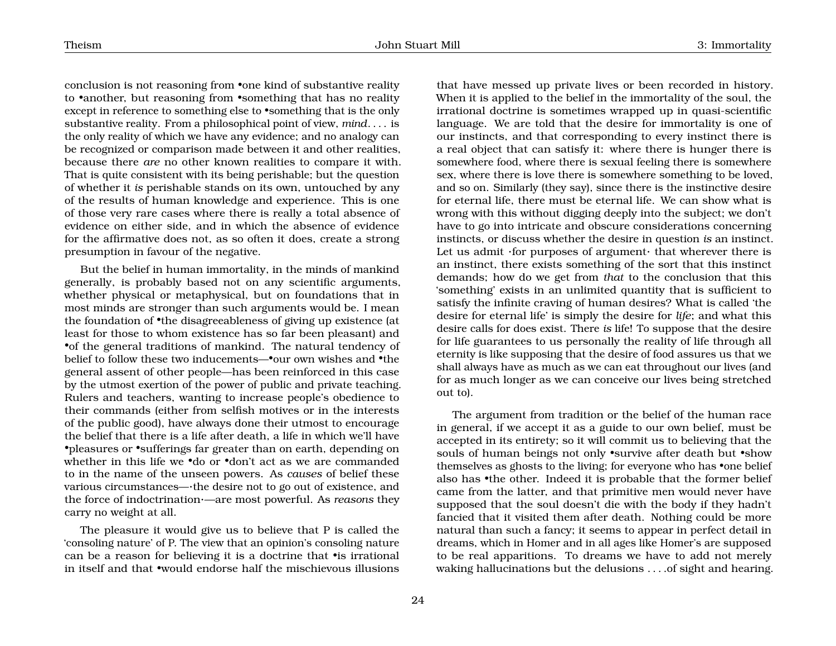conclusion is not reasoning from •one kind of substantive reality to •another, but reasoning from •something that has no reality except in reference to something else to •something that is the only substantive reality. From a philosophical point of view, *mind*. . . . is the only reality of which we have any evidence; and no analogy can be recognized or comparison made between it and other realities, because there *are* no other known realities to compare it with. That is quite consistent with its being perishable; but the question of whether it *is* perishable stands on its own, untouched by any of the results of human knowledge and experience. This is one of those very rare cases where there is really a total absence of evidence on either side, and in which the absence of evidence for the affirmative does not, as so often it does, create a strong presumption in favour of the negative.

But the belief in human immortality, in the minds of mankind generally, is probably based not on any scientific arguments, whether physical or metaphysical, but on foundations that in most minds are stronger than such arguments would be. I mean the foundation of •the disagreeableness of giving up existence (at least for those to whom existence has so far been pleasant) and •of the general traditions of mankind. The natural tendency of belief to follow these two inducements—•our own wishes and •the general assent of other people—has been reinforced in this case by the utmost exertion of the power of public and private teaching. Rulers and teachers, wanting to increase people's obedience to their commands (either from selfish motives or in the interests of the public good), have always done their utmost to encourage the belief that there is a life after death, a life in which we'll have •pleasures or •sufferings far greater than on earth, depending on whether in this life we •do or •don't act as we are commanded to in the name of the unseen powers. As *causes* of belief these various circumstances—·the desire not to go out of existence, and the force of indoctrination·—are most powerful. As *reasons* they carry no weight at all.

The pleasure it would give us to believe that P is called the 'consoling nature' of P. The view that an opinion's consoling nature can be a reason for believing it is a doctrine that •is irrational in itself and that •would endorse half the mischievous illusions

that have messed up private lives or been recorded in history. When it is applied to the belief in the immortality of the soul, the irrational doctrine is sometimes wrapped up in quasi-scientific language. We are told that the desire for immortality is one of our instincts, and that corresponding to every instinct there is a real object that can satisfy it: where there is hunger there is somewhere food, where there is sexual feeling there is somewhere sex, where there is love there is somewhere something to be loved, and so on. Similarly (they say), since there is the instinctive desire for eternal life, there must be eternal life. We can show what is wrong with this without digging deeply into the subject; we don't have to go into intricate and obscure considerations concerning instincts, or discuss whether the desire in question *is* an instinct. Let us admit ·for purposes of argument· that wherever there is an instinct, there exists something of the sort that this instinct demands; how do we get from *that* to the conclusion that this 'something' exists in an unlimited quantity that is sufficient to satisfy the infinite craving of human desires? What is called 'the desire for eternal life' is simply the desire for *life*; and what this desire calls for does exist. There *is* life! To suppose that the desire for life guarantees to us personally the reality of life through all eternity is like supposing that the desire of food assures us that we shall always have as much as we can eat throughout our lives (and for as much longer as we can conceive our lives being stretched out to).

The argument from tradition or the belief of the human race in general, if we accept it as a guide to our own belief, must be accepted in its entirety; so it will commit us to believing that the souls of human beings not only •survive after death but •show themselves as ghosts to the living; for everyone who has •one belief also has •the other. Indeed it is probable that the former belief came from the latter, and that primitive men would never have supposed that the soul doesn't die with the body if they hadn't fancied that it visited them after death. Nothing could be more natural than such a fancy; it seems to appear in perfect detail in dreams, which in Homer and in all ages like Homer's are supposed to be real apparitions. To dreams we have to add not merely waking hallucinations but the delusions . . . .of sight and hearing.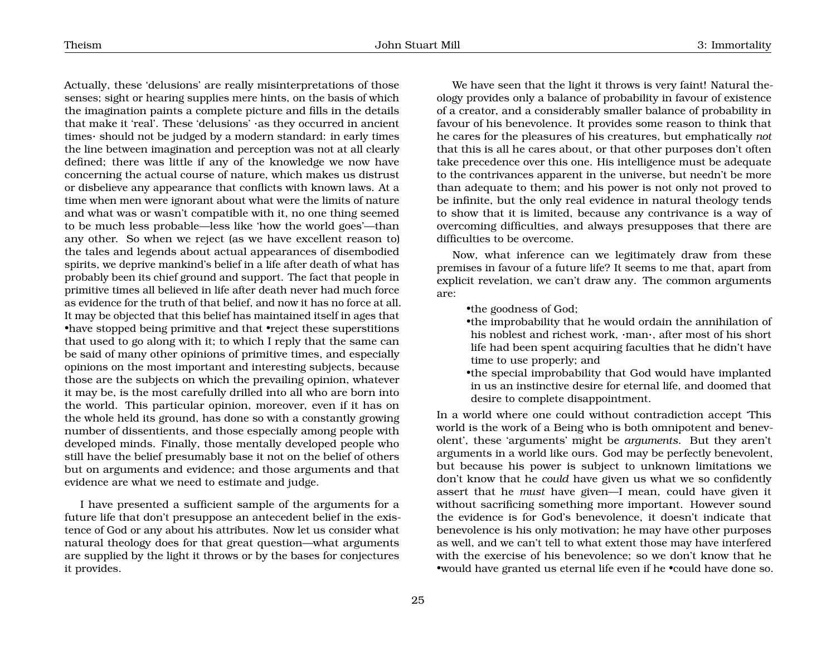Actually, these 'delusions' are really misinterpretations of those senses; sight or hearing supplies mere hints, on the basis of which the imagination paints a complete picture and fills in the details that make it 'real'. These 'delusions' ·as they occurred in ancient times· should not be judged by a modern standard: in early times the line between imagination and perception was not at all clearly defined; there was little if any of the knowledge we now have concerning the actual course of nature, which makes us distrust or disbelieve any appearance that conflicts with known laws. At a time when men were ignorant about what were the limits of nature and what was or wasn't compatible with it, no one thing seemed to be much less probable—less like 'how the world goes'—than any other. So when we reject (as we have excellent reason to) the tales and legends about actual appearances of disembodied spirits, we deprive mankind's belief in a life after death of what has probably been its chief ground and support. The fact that people in primitive times all believed in life after death never had much force as evidence for the truth of that belief, and now it has no force at all. It may be objected that this belief has maintained itself in ages that •have stopped being primitive and that •reject these superstitions that used to go along with it; to which I reply that the same can be said of many other opinions of primitive times, and especially opinions on the most important and interesting subjects, because those are the subjects on which the prevailing opinion, whatever it may be, is the most carefully drilled into all who are born into the world. This particular opinion, moreover, even if it has on the whole held its ground, has done so with a constantly growing number of dissentients, and those especially among people with developed minds. Finally, those mentally developed people who still have the belief presumably base it not on the belief of others but on arguments and evidence; and those arguments and that evidence are what we need to estimate and judge.

I have presented a sufficient sample of the arguments for a future life that don't presuppose an antecedent belief in the existence of God or any about his attributes. Now let us consider what natural theology does for that great question—what arguments are supplied by the light it throws or by the bases for conjectures it provides.

We have seen that the light it throws is very faint! Natural theology provides only a balance of probability in favour of existence of a creator, and a considerably smaller balance of probability in favour of his benevolence. It provides some reason to think that he cares for the pleasures of his creatures, but emphatically *not* that this is all he cares about, or that other purposes don't often take precedence over this one. His intelligence must be adequate to the contrivances apparent in the universe, but needn't be more than adequate to them; and his power is not only not proved to be infinite, but the only real evidence in natural theology tends to show that it is limited, because any contrivance is a way of overcoming difficulties, and always presupposes that there are difficulties to be overcome.

Now, what inference can we legitimately draw from these premises in favour of a future life? It seems to me that, apart from explicit revelation, we can't draw any. The common arguments are:

- •the goodness of God;
- •the improbability that he would ordain the annihilation of his noblest and richest work, ·man·, after most of his short life had been spent acquiring faculties that he didn't have time to use properly; and
- •the special improbability that God would have implanted in us an instinctive desire for eternal life, and doomed that desire to complete disappointment.

In a world where one could without contradiction accept 'This world is the work of a Being who is both omnipotent and benevolent', these 'arguments' might be *arguments*. But they aren't arguments in a world like ours. God may be perfectly benevolent, but because his power is subject to unknown limitations we don't know that he *could* have given us what we so confidently assert that he *must* have given—I mean, could have given it without sacrificing something more important. However sound the evidence is for God's benevolence, it doesn't indicate that benevolence is his only motivation; he may have other purposes as well, and we can't tell to what extent those may have interfered with the exercise of his benevolence; so we don't know that he •would have granted us eternal life even if he •could have done so.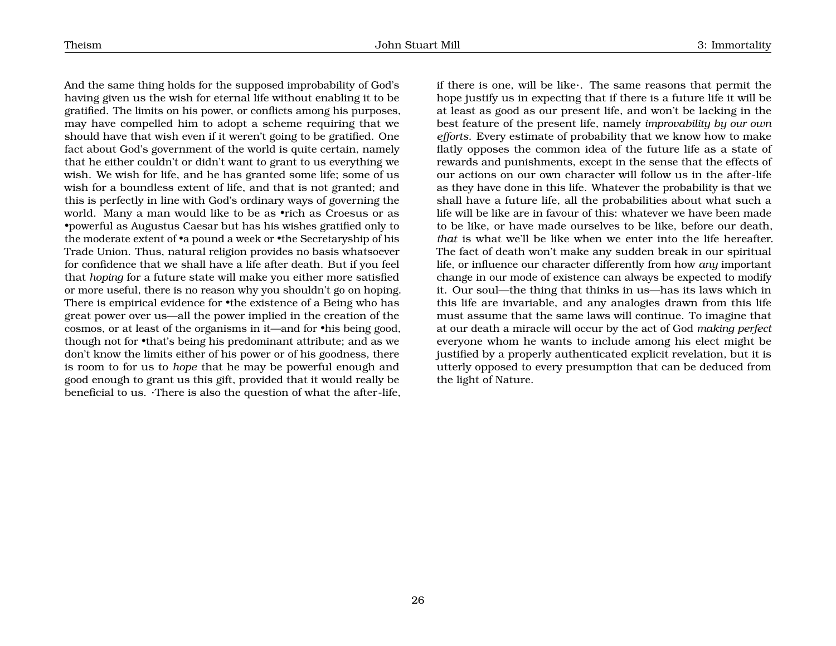And the same thing holds for the supposed improbability of God's having given us the wish for eternal life without enabling it to be gratified. The limits on his power, or conflicts among his purposes, may have compelled him to adopt a scheme requiring that we should have that wish even if it weren't going to be gratified. One fact about God's government of the world is quite certain, namely that he either couldn't or didn't want to grant to us everything we wish. We wish for life, and he has granted some life; some of us wish for a boundless extent of life, and that is not granted; and this is perfectly in line with God's ordinary ways of governing the world. Many a man would like to be as •rich as Croesus or as •powerful as Augustus Caesar but has his wishes gratified only to the moderate extent of •a pound a week or •the Secretaryship of his Trade Union. Thus, natural religion provides no basis whatsoever for confidence that we shall have a life after death. But if you feel that *hoping* for a future state will make you either more satisfied or more useful, there is no reason why you shouldn't go on hoping. There is empirical evidence for •the existence of a Being who has great power over us—all the power implied in the creation of the cosmos, or at least of the organisms in it—and for •his being good, though not for •that's being his predominant attribute; and as we don't know the limits either of his power or of his goodness, there is room to for us to *hope* that he may be powerful enough and good enough to grant us this gift, provided that it would really be beneficial to us. ·There is also the question of what the after-life,

if there is one, will be like·. The same reasons that permit the hope justify us in expecting that if there is a future life it will be at least as good as our present life, and won't be lacking in the best feature of the present life, namely *improvability by our own efforts*. Every estimate of probability that we know how to make flatly opposes the common idea of the future life as a state of rewards and punishments, except in the sense that the effects of our actions on our own character will follow us in the after-life as they have done in this life. Whatever the probability is that we shall have a future life, all the probabilities about what such a life will be like are in favour of this: whatever we have been made to be like, or have made ourselves to be like, before our death, *that* is what we'll be like when we enter into the life hereafter. The fact of death won't make any sudden break in our spiritual life, or influence our character differently from how *any* important change in our mode of existence can always be expected to modify it. Our soul—the thing that thinks in us—has its laws which in this life are invariable, and any analogies drawn from this life must assume that the same laws will continue. To imagine that at our death a miracle will occur by the act of God *making perfect* everyone whom he wants to include among his elect might be justified by a properly authenticated explicit revelation, but it is utterly opposed to every presumption that can be deduced from the light of Nature.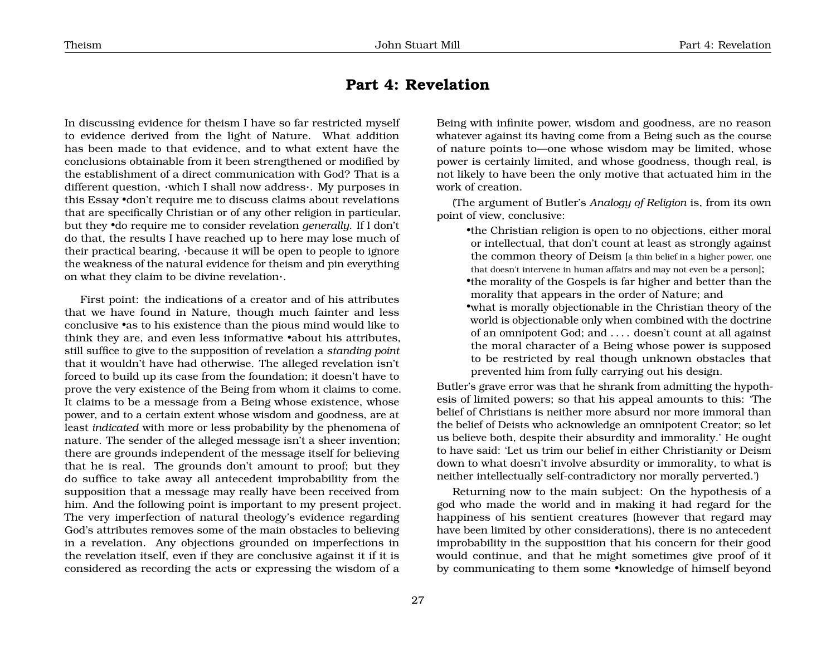## <span id="page-27-0"></span>**Part 4: Revelation**

In discussing evidence for theism I have so far restricted myself to evidence derived from the light of Nature. What addition has been made to that evidence, and to what extent have the conclusions obtainable from it been strengthened or modified by the establishment of a direct communication with God? That is a different question, ·which I shall now address·. My purposes in this Essay •don't require me to discuss claims about revelations that are specifically Christian or of any other religion in particular, but they •do require me to consider revelation *generally*. If I don't do that, the results I have reached up to here may lose much of their practical bearing, ·because it will be open to people to ignore the weakness of the natural evidence for theism and pin everything on what they claim to be divine revelation·.

First point: the indications of a creator and of his attributes that we have found in Nature, though much fainter and less conclusive •as to his existence than the pious mind would like to think they are, and even less informative •about his attributes, still suffice to give to the supposition of revelation a *standing point* that it wouldn't have had otherwise. The alleged revelation isn't forced to build up its case from the foundation; it doesn't have to prove the very existence of the Being from whom it claims to come. It claims to be a message from a Being whose existence, whose power, and to a certain extent whose wisdom and goodness, are at least *indicated* with more or less probability by the phenomena of nature. The sender of the alleged message isn't a sheer invention; there are grounds independent of the message itself for believing that he is real. The grounds don't amount to proof; but they do suffice to take away all antecedent improbability from the supposition that a message may really have been received from him. And the following point is important to my present project. The very imperfection of natural theology's evidence regarding God's attributes removes some of the main obstacles to believing in a revelation. Any objections grounded on imperfections in the revelation itself, even if they are conclusive against it if it is considered as recording the acts or expressing the wisdom of a

Being with infinite power, wisdom and goodness, are no reason whatever against its having come from a Being such as the course of nature points to—one whose wisdom may be limited, whose power is certainly limited, and whose goodness, though real, is not likely to have been the only motive that actuated him in the work of creation. (The argument of Butler's *Analogy of Religion* is, from its own

point of view, conclusive:

- •the Christian religion is open to no objections, either moral or intellectual, that don't count at least as strongly against the common theory of Deism [a thin belief in a higher power, one that doesn't intervene in human affairs and may not even be a person];
- •the morality of the Gospels is far higher and better than the morality that appears in the order of Nature; and
- •what is morally objectionable in the Christian theory of the world is objectionable only when combined with the doctrine of an omnipotent God; and . . . . doesn't count at all against the moral character of a Being whose power is supposed to be restricted by real though unknown obstacles that prevented him from fully carrying out his design.

Butler's grave error was that he shrank from admitting the hypothesis of limited powers; so that his appeal amounts to this: 'The belief of Christians is neither more absurd nor more immoral than the belief of Deists who acknowledge an omnipotent Creator; so let us believe both, despite their absurdity and immorality.' He ought to have said: 'Let us trim our belief in either Christianity or Deism down to what doesn't involve absurdity or immorality, to what is neither intellectually self-contradictory nor morally perverted.')

Returning now to the main subject: On the hypothesis of a god who made the world and in making it had regard for the happiness of his sentient creatures (however that regard may have been limited by other considerations), there is no antecedent improbability in the supposition that his concern for their good would continue, and that he might sometimes give proof of it by communicating to them some •knowledge of himself beyond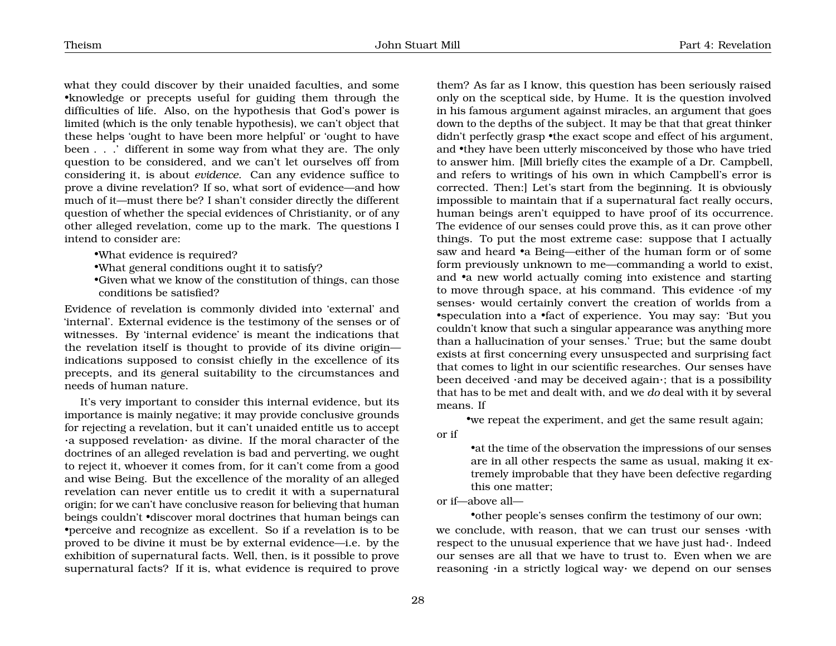what they could discover by their unaided faculties, and some •knowledge or precepts useful for guiding them through the difficulties of life. Also, on the hypothesis that God's power is limited (which is the only tenable hypothesis), we can't object that these helps 'ought to have been more helpful' or 'ought to have been . . .' different in some way from what they are. The only question to be considered, and we can't let ourselves off from considering it, is about *evidence*. Can any evidence suffice to prove a divine revelation? If so, what sort of evidence—and how much of it—must there be? I shan't consider directly the different question of whether the special evidences of Christianity, or of any other alleged revelation, come up to the mark. The questions I intend to consider are:

•What evidence is required?

•What general conditions ought it to satisfy?

•Given what we know of the constitution of things, can those conditions be satisfied?

Evidence of revelation is commonly divided into 'external' and 'internal'. External evidence is the testimony of the senses or of witnesses. By 'internal evidence' is meant the indications that the revelation itself is thought to provide of its divine origin indications supposed to consist chiefly in the excellence of its precepts, and its general suitability to the circumstances and needs of human nature.

It's very important to consider this internal evidence, but its importance is mainly negative; it may provide conclusive grounds for rejecting a revelation, but it can't unaided entitle us to accept ·a supposed revelation· as divine. If the moral character of the doctrines of an alleged revelation is bad and perverting, we ought to reject it, whoever it comes from, for it can't come from a good and wise Being. But the excellence of the morality of an alleged revelation can never entitle us to credit it with a supernatural origin; for we can't have conclusive reason for believing that human beings couldn't •discover moral doctrines that human beings can •perceive and recognize as excellent. So if a revelation is to be proved to be divine it must be by external evidence—i.e. by the exhibition of supernatural facts. Well, then, is it possible to prove supernatural facts? If it is, what evidence is required to prove

them? As far as I know, this question has been seriously raised only on the sceptical side, by Hume. It is the question involved in his famous argument against miracles, an argument that goes down to the depths of the subject. It may be that that great thinker didn't perfectly grasp •the exact scope and effect of his argument, and •they have been utterly misconceived by those who have tried to answer him. [Mill briefly cites the example of a Dr. Campbell, and refers to writings of his own in which Campbell's error is corrected. Then:] Let's start from the beginning. It is obviously impossible to maintain that if a supernatural fact really occurs, human beings aren't equipped to have proof of its occurrence. The evidence of our senses could prove this, as it can prove other things. To put the most extreme case: suppose that I actually saw and heard •a Being—either of the human form or of some form previously unknown to me—commanding a world to exist, and •a new world actually coming into existence and starting to move through space, at his command. This evidence ·of my senses· would certainly convert the creation of worlds from a •speculation into a •fact of experience. You may say: 'But you couldn't know that such a singular appearance was anything more than a hallucination of your senses.' True; but the same doubt exists at first concerning every unsuspected and surprising fact that comes to light in our scientific researches. Our senses have been deceived ·and may be deceived again·; that is a possibility that has to be met and dealt with, and we *do* deal with it by several means. If

•we repeat the experiment, and get the same result again;

or if

•at the time of the observation the impressions of our senses are in all other respects the same as usual, making it extremely improbable that they have been defective regarding this one matter;

or if—above all—

•other people's senses confirm the testimony of our own; we conclude, with reason, that we can trust our senses ·with respect to the unusual experience that we have just had·. Indeed our senses are all that we have to trust to. Even when we are reasoning ·in a strictly logical way· we depend on our senses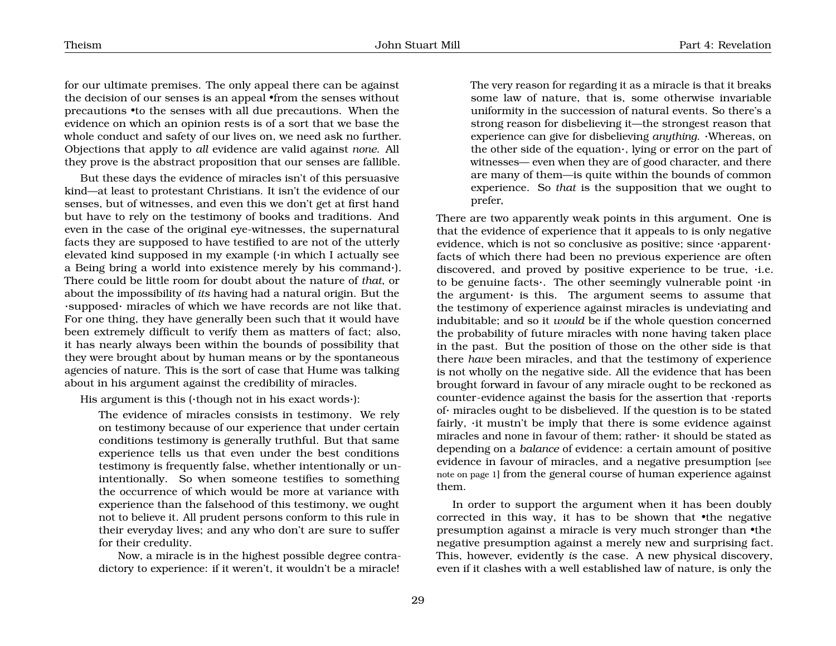for our ultimate premises. The only appeal there can be against the decision of our senses is an appeal •from the senses without precautions •to the senses with all due precautions. When the evidence on which an opinion rests is of a sort that we base the whole conduct and safety of our lives on, we need ask no further. Objections that apply to *all* evidence are valid against *none*. All they prove is the abstract proposition that our senses are fallible.

But these days the evidence of miracles isn't of this persuasive kind—at least to protestant Christians. It isn't the evidence of our senses, but of witnesses, and even this we don't get at first hand but have to rely on the testimony of books and traditions. And even in the case of the original eye-witnesses, the supernatural facts they are supposed to have testified to are not of the utterly elevated kind supposed in my example (·in which I actually see a Being bring a world into existence merely by his command·). There could be little room for doubt about the nature of *that*, or about the impossibility of *its* having had a natural origin. But the ·supposed· miracles of which we have records are not like that. For one thing, they have generally been such that it would have been extremely difficult to verify them as matters of fact; also, it has nearly always been within the bounds of possibility that they were brought about by human means or by the spontaneous agencies of nature. This is the sort of case that Hume was talking about in his argument against the credibility of miracles.

His argument is this (·though not in his exact words·):

The evidence of miracles consists in testimony. We rely on testimony because of our experience that under certain conditions testimony is generally truthful. But that same experience tells us that even under the best conditions testimony is frequently false, whether intentionally or unintentionally. So when someone testifies to something the occurrence of which would be more at variance with experience than the falsehood of this testimony, we ought not to believe it. All prudent persons conform to this rule in their everyday lives; and any who don't are sure to suffer for their credulity.

Now, a miracle is in the highest possible degree contradictory to experience: if it weren't, it wouldn't be a miracle! The very reason for regarding it as a miracle is that it breaks some law of nature, that is, some otherwise invariable uniformity in the succession of natural events. So there's a strong reason for disbelieving it—the strongest reason that experience can give for disbelieving *anything*. ·Whereas, on the other side of the equation·, lying or error on the part of witnesses— even when they are of good character, and there are many of them—is quite within the bounds of common experience. So *that* is the supposition that we ought to prefer,

There are two apparently weak points in this argument. One is that the evidence of experience that it appeals to is only negative evidence, which is not so conclusive as positive; since ·apparent· facts of which there had been no previous experience are often discovered, and proved by positive experience to be true, ·i.e. to be genuine facts·. The other seemingly vulnerable point ·in the argument· is this. The argument seems to assume that the testimony of experience against miracles is undeviating and indubitable; and so it *would* be if the whole question concerned the probability of future miracles with none having taken place in the past. But the position of those on the other side is that there *have* been miracles, and that the testimony of experience is not wholly on the negative side. All the evidence that has been brought forward in favour of any miracle ought to be reckoned as counter-evidence against the basis for the assertion that ·reports of· miracles ought to be disbelieved. If the question is to be stated fairly,  $\cdot$ it mustn't be imply that there is some evidence against miracles and none in favour of them; rather· it should be stated as depending on a *balance* of evidence: a certain amount of positive evidence in favour of miracles, and a negative presumption [see note on page [1](#page-1-0)] from the general course of human experience against them.

In order to support the argument when it has been doubly corrected in this way, it has to be shown that •the negative presumption against a miracle is very much stronger than •the negative presumption against a merely new and surprising fact. This, however, evidently *is* the case. A new physical discovery, even if it clashes with a well established law of nature, is only the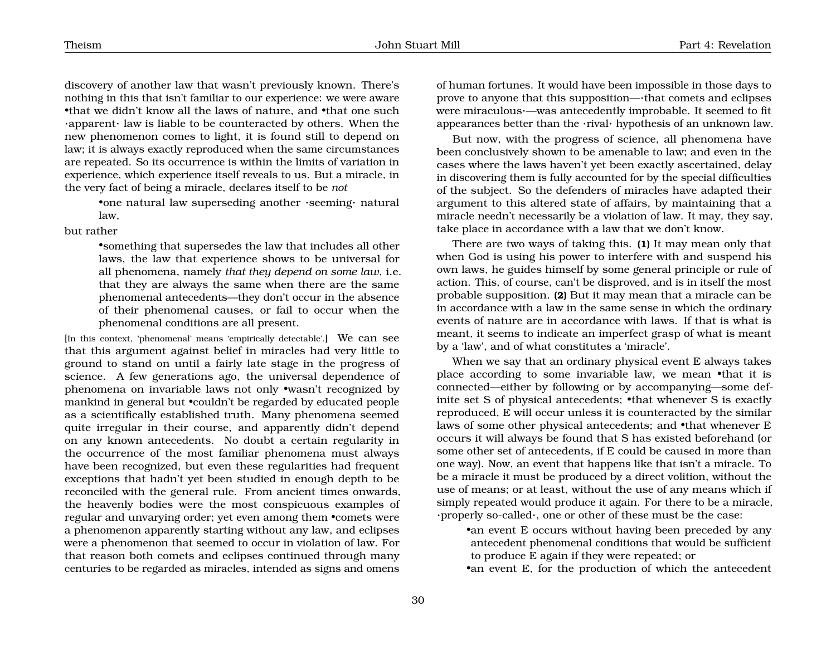discovery of another law that wasn't previously known. There's nothing in this that isn't familiar to our experience: we were aware •that we didn't know all the laws of nature, and •that one such ·apparent· law is liable to be counteracted by others. When the new phenomenon comes to light, it is found still to depend on law; it is always exactly reproduced when the same circumstances are repeated. So its occurrence is within the limits of variation in experience, which experience itself reveals to us. But a miracle, in the very fact of being a miracle, declares itself to be *not*

> •one natural law superseding another ·seeming· natural law,

but rather

•something that supersedes the law that includes all other laws, the law that experience shows to be universal for all phenomena, namely *that they depend on some law*, i.e. that they are always the same when there are the same phenomenal antecedents—they don't occur in the absence of their phenomenal causes, or fail to occur when the phenomenal conditions are all present.

[In this context, 'phenomenal' means 'empirically detectable'.] We can see that this argument against belief in miracles had very little to ground to stand on until a fairly late stage in the progress of science. A few generations ago, the universal dependence of phenomena on invariable laws not only •wasn't recognized by mankind in general but •couldn't be regarded by educated people as a scientifically established truth. Many phenomena seemed quite irregular in their course, and apparently didn't depend on any known antecedents. No doubt a certain regularity in the occurrence of the most familiar phenomena must always have been recognized, but even these regularities had frequent exceptions that hadn't yet been studied in enough depth to be reconciled with the general rule. From ancient times onwards, the heavenly bodies were the most conspicuous examples of regular and unvarying order; yet even among them •comets were a phenomenon apparently starting without any law, and eclipses were a phenomenon that seemed to occur in violation of law. For that reason both comets and eclipses continued through many centuries to be regarded as miracles, intended as signs and omens

of human fortunes. It would have been impossible in those days to prove to anyone that this supposition—·that comets and eclipses were miraculous·—was antecedently improbable. It seemed to fit appearances better than the ·rival· hypothesis of an unknown law.

But now, with the progress of science, all phenomena have been conclusively shown to be amenable to law; and even in the cases where the laws haven't yet been exactly ascertained, delay in discovering them is fully accounted for by the special difficulties of the subject. So the defenders of miracles have adapted their argument to this altered state of affairs, by maintaining that a miracle needn't necessarily be a violation of law. It may, they say, take place in accordance with a law that we don't know.

There are two ways of taking this. **(1)** It may mean only that when God is using his power to interfere with and suspend his own laws, he guides himself by some general principle or rule of action. This, of course, can't be disproved, and is in itself the most probable supposition. **(2)** But it may mean that a miracle can be in accordance with a law in the same sense in which the ordinary events of nature are in accordance with laws. If that is what is meant, it seems to indicate an imperfect grasp of what is meant by a 'law', and of what constitutes a 'miracle'.

When we say that an ordinary physical event E always takes place according to some invariable law, we mean •that it is connected—either by following or by accompanying—some definite set S of physical antecedents; •that whenever S is exactly reproduced, E will occur unless it is counteracted by the similar laws of some other physical antecedents; and •that whenever E occurs it will always be found that S has existed beforehand (or some other set of antecedents, if E could be caused in more than one way). Now, an event that happens like that isn't a miracle. To be a miracle it must be produced by a direct volition, without the use of means; or at least, without the use of any means which if simply repeated would produce it again. For there to be a miracle, ·properly so-called·, one or other of these must be the case:

•an event E occurs without having been preceded by any antecedent phenomenal conditions that would be sufficient to produce E again if they were repeated; or

•an event E, for the production of which the antecedent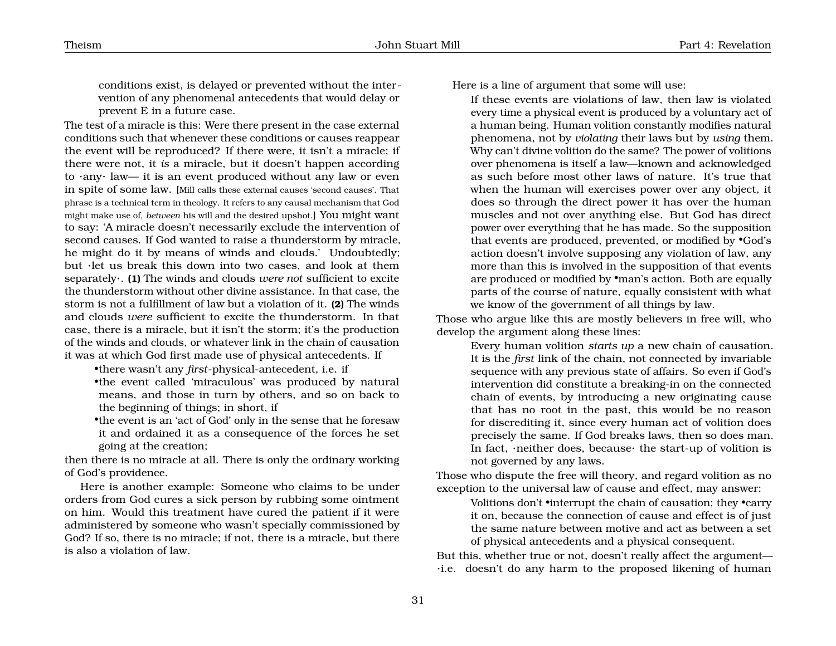conditions exist, is delayed or prevented without the intervention of any phenomenal antecedents that would delay or prevent E in a future case.

The test of a miracle is this: Were there present in the case external conditions such that whenever these conditions or causes reappear the event will be reproduced? If there were, it isn't a miracle; if there were not, it *is* a miracle, but it doesn't happen according to ·any· law— it is an event produced without any law or even in spite of some law. [Mill calls these external causes 'second causes'. That phrase is a technical term in theology. It refers to any causal mechanism that God might make use of, *between* his will and the desired upshot.] You might want to say: 'A miracle doesn't necessarily exclude the intervention of second causes. If God wanted to raise a thunderstorm by miracle, he might do it by means of winds and clouds.' Undoubtedly; but ·let us break this down into two cases, and look at them separately·. **(1)** The winds and clouds *were not* sufficient to excite the thunderstorm without other divine assistance. In that case, the storm is not a fulfillment of law but a violation of it. **(2)** The winds and clouds *were* sufficient to excite the thunderstorm. In that case, there is a miracle, but it isn't the storm; it's the production of the winds and clouds, or whatever link in the chain of causation it was at which God first made use of physical antecedents. If

•there wasn't any *first*-physical-antecedent, i.e. if

•the event called 'miraculous' was produced by natural means, and those in turn by others, and so on back to the beginning of things; in short, if

•the event is an 'act of God' only in the sense that he foresaw it and ordained it as a consequence of the forces he set going at the creation;

then there is no miracle at all. There is only the ordinary working of God's providence.

Here is another example: Someone who claims to be under orders from God cures a sick person by rubbing some ointment on him. Would this treatment have cured the patient if it were administered by someone who wasn't specially commissioned by God? If so, there is no miracle; if not, there is a miracle, but there is also a violation of law.

Here is a line of argument that some will use:

If these events are violations of law, then law is violated every time a physical event is produced by a voluntary act of a human being. Human volition constantly modifies natural phenomena, not by *violating* their laws but by *using* them. Why can't divine volition do the same? The power of volitions over phenomena is itself a law—known and acknowledged as such before most other laws of nature. It's true that when the human will exercises power over any object, it does so through the direct power it has over the human muscles and not over anything else. But God has direct power over everything that he has made. So the supposition that events are produced, prevented, or modified by •God's action doesn't involve supposing any violation of law, any more than this is involved in the supposition of that events are produced or modified by •man's action. Both are equally parts of the course of nature, equally consistent with what we know of the government of all things by law.

Those who argue like this are mostly believers in free will, who develop the argument along these lines:

Every human volition *starts up* a new chain of causation. It is the *first* link of the chain, not connected by invariable sequence with any previous state of affairs. So even if God's intervention did constitute a breaking-in on the connected chain of events, by introducing a new originating cause that has no root in the past, this would be no reason for discrediting it, since every human act of volition does precisely the same. If God breaks laws, then so does man. In fact, ·neither does, because· the start-up of volition is not governed by any laws.

Those who dispute the free will theory, and regard volition as no exception to the universal law of cause and effect, may answer:

> Volitions don't •interrupt the chain of causation; they •carry it on, because the connection of cause and effect is of just the same nature between motive and act as between a set of physical antecedents and a physical consequent.

But this, whether true or not, doesn't really affect the argument— ·i.e. doesn't do any harm to the proposed likening of human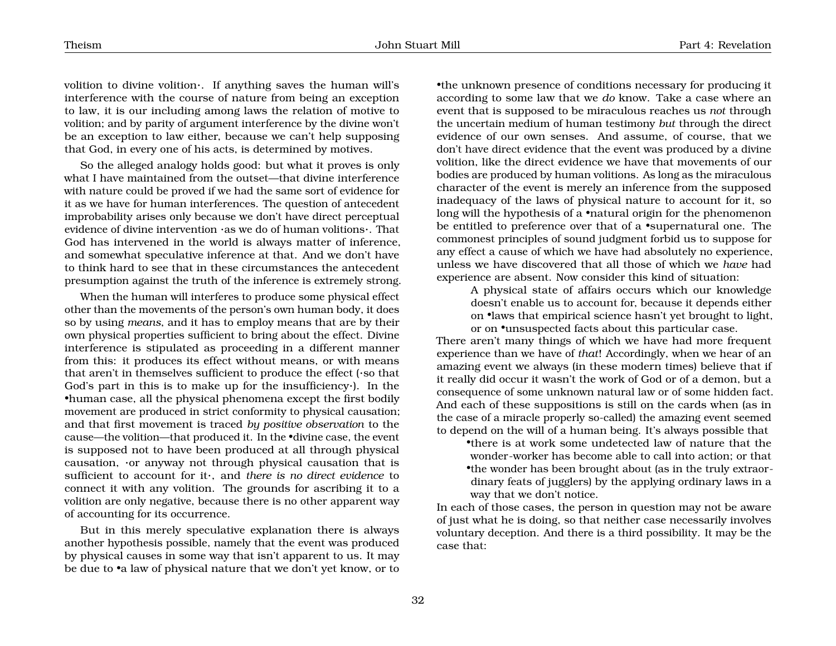volition to divine volition·. If anything saves the human will's interference with the course of nature from being an exception to law, it is our including among laws the relation of motive to volition; and by parity of argument interference by the divine won't be an exception to law either, because we can't help supposing that God, in every one of his acts, is determined by motives.

So the alleged analogy holds good: but what it proves is only what I have maintained from the outset—that divine interference with nature could be proved if we had the same sort of evidence for it as we have for human interferences. The question of antecedent improbability arises only because we don't have direct perceptual evidence of divine intervention ·as we do of human volitions·. That God has intervened in the world is always matter of inference, and somewhat speculative inference at that. And we don't have to think hard to see that in these circumstances the antecedent presumption against the truth of the inference is extremely strong.

When the human will interferes to produce some physical effect other than the movements of the person's own human body, it does so by using *means*, and it has to employ means that are by their own physical properties sufficient to bring about the effect. Divine interference is stipulated as proceeding in a different manner from this: it produces its effect without means, or with means that aren't in themselves sufficient to produce the effect (·so that God's part in this is to make up for the insufficiency·). In the •human case, all the physical phenomena except the first bodily movement are produced in strict conformity to physical causation; and that first movement is traced *by positive observation* to the cause—the volition—that produced it. In the •divine case, the event is supposed not to have been produced at all through physical causation, ·or anyway not through physical causation that is sufficient to account for it·, and *there is no direct evidence* to connect it with any volition. The grounds for ascribing it to a volition are only negative, because there is no other apparent way of accounting for its occurrence.

But in this merely speculative explanation there is always another hypothesis possible, namely that the event was produced by physical causes in some way that isn't apparent to us. It may be due to •a law of physical nature that we don't yet know, or to

•the unknown presence of conditions necessary for producing it according to some law that we *do* know. Take a case where an event that is supposed to be miraculous reaches us *not* through the uncertain medium of human testimony *but* through the direct evidence of our own senses. And assume, of course, that we don't have direct evidence that the event was produced by a divine volition, like the direct evidence we have that movements of our bodies are produced by human volitions. As long as the miraculous character of the event is merely an inference from the supposed inadequacy of the laws of physical nature to account for it, so long will the hypothesis of a •natural origin for the phenomenon be entitled to preference over that of a •supernatural one. The commonest principles of sound judgment forbid us to suppose for any effect a cause of which we have had absolutely no experience, unless we have discovered that all those of which we *have* had experience are absent. Now consider this kind of situation:

> A physical state of affairs occurs which our knowledge doesn't enable us to account for, because it depends either on •laws that empirical science hasn't yet brought to light, or on •unsuspected facts about this particular case.

There aren't many things of which we have had more frequent experience than we have of *that*! Accordingly, when we hear of an amazing event we always (in these modern times) believe that if it really did occur it wasn't the work of God or of a demon, but a consequence of some unknown natural law or of some hidden fact. And each of these suppositions is still on the cards when (as in the case of a miracle properly so-called) the amazing event seemed to depend on the will of a human being. It's always possible that

•there is at work some undetected law of nature that the wonder-worker has become able to call into action; or that •the wonder has been brought about (as in the truly extraordinary feats of jugglers) by the applying ordinary laws in a way that we don't notice.

In each of those cases, the person in question may not be aware of just what he is doing, so that neither case necessarily involves voluntary deception. And there is a third possibility. It may be the case that: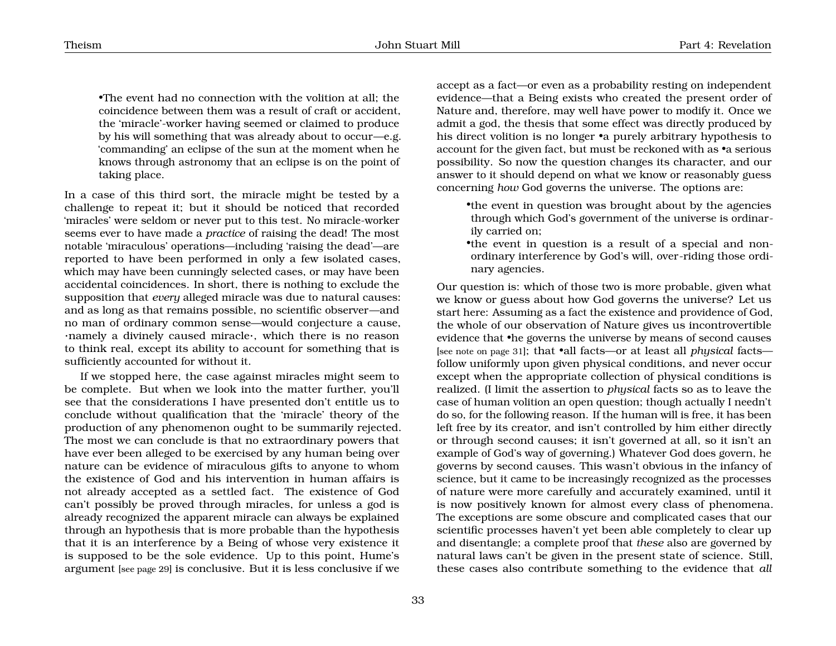•The event had no connection with the volition at all; the coincidence between them was a result of craft or accident, the 'miracle'-worker having seemed or claimed to produce by his will something that was already about to occur—e.g. 'commanding' an eclipse of the sun at the moment when he knows through astronomy that an eclipse is on the point of taking place.

In a case of this third sort, the miracle might be tested by a challenge to repeat it; but it should be noticed that recorded 'miracles' were seldom or never put to this test. No miracle-worker seems ever to have made a *practice* of raising the dead! The most notable 'miraculous' operations—including 'raising the dead'—are reported to have been performed in only a few isolated cases, which may have been cunningly selected cases, or may have been accidental coincidences. In short, there is nothing to exclude the supposition that *every* alleged miracle was due to natural causes: and as long as that remains possible, no scientific observer—and no man of ordinary common sense—would conjecture a cause, ·namely a divinely caused miracle·, which there is no reason to think real, except its ability to account for something that is sufficiently accounted for without it.

If we stopped here, the case against miracles might seem to be complete. But when we look into the matter further, you'll see that the considerations I have presented don't entitle us to conclude without qualification that the 'miracle' theory of the production of any phenomenon ought to be summarily rejected. The most we can conclude is that no extraordinary powers that have ever been alleged to be exercised by any human being over nature can be evidence of miraculous gifts to anyone to whom the existence of God and his intervention in human affairs is not already accepted as a settled fact. The existence of God can't possibly be proved through miracles, for unless a god is already recognized the apparent miracle can always be explained through an hypothesis that is more probable than the hypothesis that it is an interference by a Being of whose very existence it is supposed to be the sole evidence. Up to this point, Hume's argument [see page [29](#page-27-0)] is conclusive. But it is less conclusive if we

accept as a fact—or even as a probability resting on independent evidence—that a Being exists who created the present order of Nature and, therefore, may well have power to modify it. Once we admit a god, the thesis that some effect was directly produced by his direct volition is no longer •a purely arbitrary hypothesis to account for the given fact, but must be reckoned with as •a serious possibility. So now the question changes its character, and our answer to it should depend on what we know or reasonably guess concerning *how* God governs the universe. The options are:

- •the event in question was brought about by the agencies through which God's government of the universe is ordinarily carried on;
- •the event in question is a result of a special and nonordinary interference by God's will, over-riding those ordinary agencies.

Our question is: which of those two is more probable, given what we know or guess about how God governs the universe? Let us start here: Assuming as a fact the existence and providence of God, the whole of our observation of Nature gives us incontrovertible evidence that •he governs the universe by means of second causes [see note on page [31](#page-27-0)]; that •all facts—or at least all *physical* facts follow uniformly upon given physical conditions, and never occur except when the appropriate collection of physical conditions is realized. (I limit the assertion to *physical* facts so as to leave the case of human volition an open question; though actually I needn't do so, for the following reason. If the human will is free, it has been left free by its creator, and isn't controlled by him either directly or through second causes; it isn't governed at all, so it isn't an example of God's way of governing.) Whatever God does govern, he governs by second causes. This wasn't obvious in the infancy of science, but it came to be increasingly recognized as the processes of nature were more carefully and accurately examined, until it is now positively known for almost every class of phenomena. The exceptions are some obscure and complicated cases that our scientific processes haven't yet been able completely to clear up and disentangle; a complete proof that *these* also are governed by natural laws can't be given in the present state of science. Still, these cases also contribute something to the evidence that *all*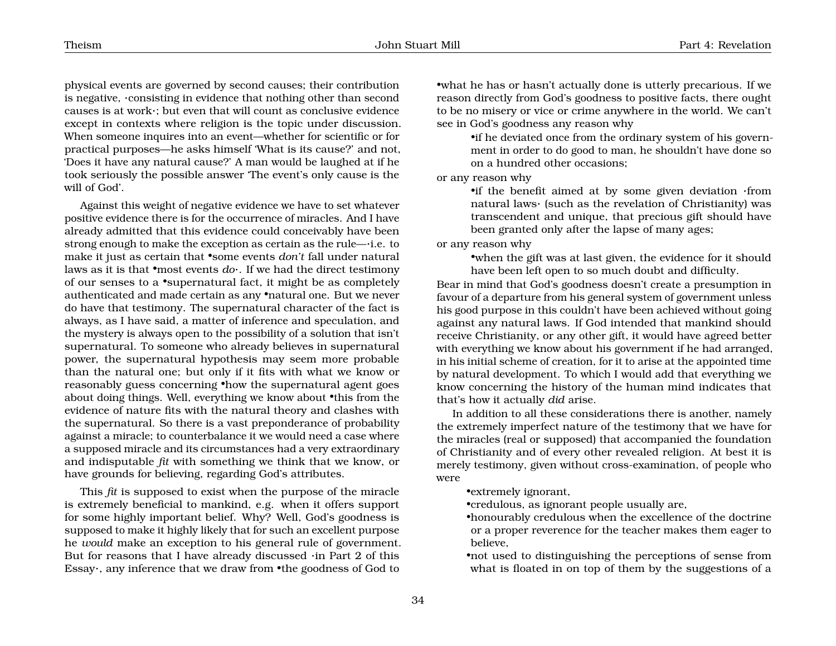physical events are governed by second causes; their contribution is negative, ·consisting in evidence that nothing other than second causes is at work·; but even that will count as conclusive evidence except in contexts where religion is the topic under discussion. When someone inquires into an event—whether for scientific or for practical purposes—he asks himself 'What is its cause?' and not, 'Does it have any natural cause?' A man would be laughed at if he took seriously the possible answer 'The event's only cause is the will of God'.

Against this weight of negative evidence we have to set whatever positive evidence there is for the occurrence of miracles. And I have already admitted that this evidence could conceivably have been strong enough to make the exception as certain as the rule—·i.e. to make it just as certain that •some events *don't* fall under natural laws as it is that •most events *do*·. If we had the direct testimony of our senses to a •supernatural fact, it might be as completely authenticated and made certain as any •natural one. But we never do have that testimony. The supernatural character of the fact is always, as I have said, a matter of inference and speculation, and the mystery is always open to the possibility of a solution that isn't supernatural. To someone who already believes in supernatural power, the supernatural hypothesis may seem more probable than the natural one; but only if it fits with what we know or reasonably guess concerning •how the supernatural agent goes about doing things. Well, everything we know about •this from the evidence of nature fits with the natural theory and clashes with the supernatural. So there is a vast preponderance of probability against a miracle; to counterbalance it we would need a case where a supposed miracle and its circumstances had a very extraordinary and indisputable *fit* with something we think that we know, or have grounds for believing, regarding God's attributes.

This *fit* is supposed to exist when the purpose of the miracle is extremely beneficial to mankind, e.g. when it offers support for some highly important belief. Why? Well, God's goodness is supposed to make it highly likely that for such an excellent purpose he *would* make an exception to his general rule of government. But for reasons that I have already discussed ·in Part 2 of this Essay·, any inference that we draw from •the goodness of God to

•what he has or hasn't actually done is utterly precarious. If we reason directly from God's goodness to positive facts, there ought to be no misery or vice or crime anywhere in the world. We can't see in God's goodness any reason why

> •if he deviated once from the ordinary system of his government in order to do good to man, he shouldn't have done so on a hundred other occasions;

#### or any reason why

•if the benefit aimed at by some given deviation ·from natural laws· (such as the revelation of Christianity) was transcendent and unique, that precious gift should have been granted only after the lapse of many ages;

#### or any reason why

•when the gift was at last given, the evidence for it should have been left open to so much doubt and difficulty.

Bear in mind that God's goodness doesn't create a presumption in favour of a departure from his general system of government unless his good purpose in this couldn't have been achieved without going against any natural laws. If God intended that mankind should receive Christianity, or any other gift, it would have agreed better with everything we know about his government if he had arranged, in his initial scheme of creation, for it to arise at the appointed time by natural development. To which I would add that everything we know concerning the history of the human mind indicates that that's how it actually *did* arise.

In addition to all these considerations there is another, namely the extremely imperfect nature of the testimony that we have for the miracles (real or supposed) that accompanied the foundation of Christianity and of every other revealed religion. At best it is merely testimony, given without cross-examination, of people who were

•extremely ignorant,

•credulous, as ignorant people usually are,

- •honourably credulous when the excellence of the doctrine or a proper reverence for the teacher makes them eager to believe,
- •not used to distinguishing the perceptions of sense from what is floated in on top of them by the suggestions of a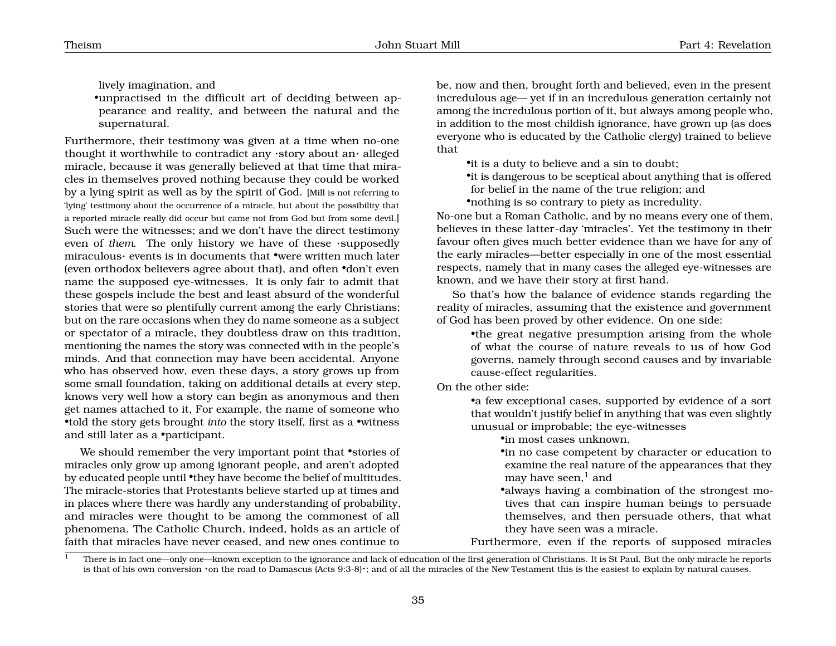lively imagination, and

•unpractised in the difficult art of deciding between appearance and reality, and between the natural and the supernatural.

Furthermore, their testimony was given at a time when no-one thought it worthwhile to contradict any ·story about an· alleged miracle, because it was generally believed at that time that miracles in themselves proved nothing because they could be worked by a lying spirit as well as by the spirit of God. [Mill is not referring to 'lying' testimony about the occurrence of a miracle, but about the possibility that a reported miracle really did occur but came not from God but from some devil.] Such were the witnesses; and we don't have the direct testimony even of *them*. The only history we have of these ·supposedly miraculous· events is in documents that •were written much later (even orthodox believers agree about that), and often •don't even name the supposed eye-witnesses. It is only fair to admit that these gospels include the best and least absurd of the wonderful stories that were so plentifully current among the early Christians; but on the rare occasions when they do name someone as a subject or spectator of a miracle, they doubtless draw on this tradition, mentioning the names the story was connected with in the people's minds. And that connection may have been accidental. Anyone who has observed how, even these days, a story grows up from some small foundation, taking on additional details at every step, knows very well how a story can begin as anonymous and then get names attached to it, For example, the name of someone who •told the story gets brought *into* the story itself, first as a •witness and still later as a •participant.

We should remember the very important point that •stories of miracles only grow up among ignorant people, and aren't adopted by educated people until •they have become the belief of multitudes. The miracle-stories that Protestants believe started up at times and in places where there was hardly any understanding of probability, and miracles were thought to be among the commonest of all phenomena. The Catholic Church, indeed, holds as an article of faith that miracles have never ceased, and new ones continue to

be, now and then, brought forth and believed, even in the present incredulous age— yet if in an incredulous generation certainly not among the incredulous portion of it, but always among people who, in addition to the most childish ignorance, have grown up (as does everyone who is educated by the Catholic clergy) trained to believe that

- •it is a duty to believe and a sin to doubt;
- •it is dangerous to be sceptical about anything that is offered for belief in the name of the true religion; and
- •nothing is so contrary to piety as incredulity.

No-one but a Roman Catholic, and by no means every one of them, believes in these latter-day 'miracles'. Yet the testimony in their favour often gives much better evidence than we have for any of the early miracles—better especially in one of the most essential respects, namely that in many cases the alleged eye-witnesses are known, and we have their story at first hand.

So that's how the balance of evidence stands regarding the reality of miracles, assuming that the existence and government of God has been proved by other evidence. On one side:

> •the great negative presumption arising from the whole of what the course of nature reveals to us of how God governs, namely through second causes and by invariable cause-effect regularities.

On the other side:

•a few exceptional cases, supported by evidence of a sort that wouldn't justify belief in anything that was even slightly unusual or improbable; the eye-witnesses

•in most cases unknown,

- •in no case competent by character or education to examine the real nature of the appearances that they may have seen, $<sup>1</sup>$  $<sup>1</sup>$  $<sup>1</sup>$  and</sup>
- •always having a combination of the strongest motives that can inspire human beings to persuade themselves, and then persuade others, that what they have seen was a miracle.

Furthermore, even if the reports of supposed miracles

<span id="page-35-0"></span><sup>&</sup>lt;sup>1</sup> There is in fact one—only one—known exception to the ignorance and lack of education of the first generation of Christians. It is St Paul. But the only miracle he reports is that of his own conversion ·on the road to Damascus (Acts 9:3-8)·; and of all the miracles of the New Testament this is the easiest to explain by natural causes.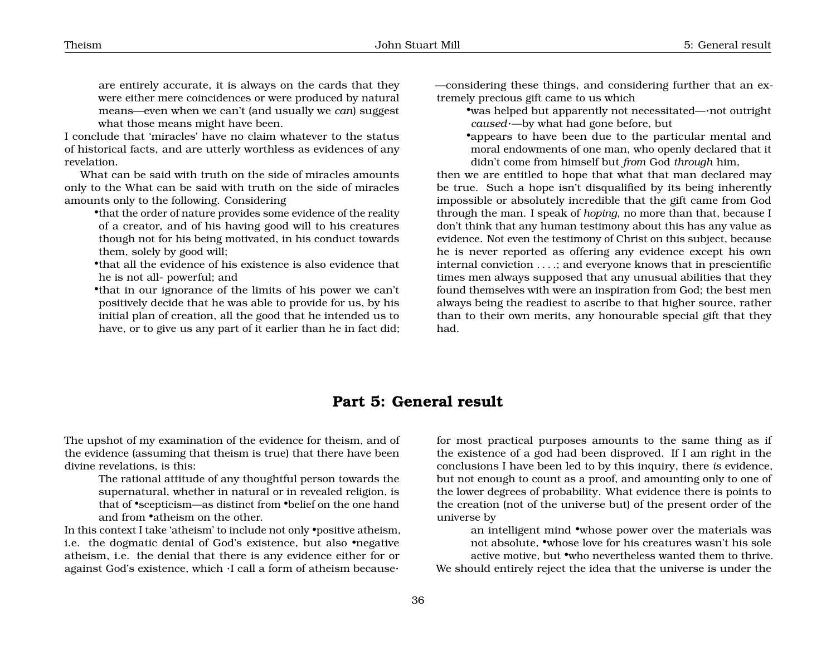are entirely accurate, it is always on the cards that they were either mere coincidences or were produced by natural means—even when we can't (and usually we *can*) suggest what those means might have been.

I conclude that 'miracles' have no claim whatever to the status of historical facts, and are utterly worthless as evidences of any revelation.

What can be said with truth on the side of miracles amounts only to the What can be said with truth on the side of miracles amounts only to the following. Considering

•that the order of nature provides some evidence of the reality of a creator, and of his having good will to his creatures though not for his being motivated, in his conduct towards them, solely by good will;

•that all the evidence of his existence is also evidence that he is not all- powerful; and

•that in our ignorance of the limits of his power we can't positively decide that he was able to provide for us, by his initial plan of creation, all the good that he intended us to have, or to give us any part of it earlier than he in fact did;

—considering these things, and considering further that an extremely precious gift came to us which

- •was helped but apparently not necessitated—·not outright *caused*·—by what had gone before, but
- •appears to have been due to the particular mental and moral endowments of one man, who openly declared that it didn't come from himself but *from* God *through* him,

then we are entitled to hope that what that man declared may be true. Such a hope isn't disqualified by its being inherently impossible or absolutely incredible that the gift came from God through the man. I speak of *hoping*, no more than that, because I don't think that any human testimony about this has any value as evidence. Not even the testimony of Christ on this subject, because he is never reported as offering any evidence except his own internal conviction . . . .; and everyone knows that in prescientific times men always supposed that any unusual abilities that they found themselves with were an inspiration from God; the best men always being the readiest to ascribe to that higher source, rather than to their own merits, any honourable special gift that they had.

## <span id="page-36-0"></span>**Part 5: General result**

The upshot of my examination of the evidence for theism, and of the evidence (assuming that theism is true) that there have been divine revelations, is this:

The rational attitude of any thoughtful person towards the supernatural, whether in natural or in revealed religion, is that of •scepticism—as distinct from •belief on the one hand and from •atheism on the other.

In this context I take 'atheism' to include not only •positive atheism, i.e. the dogmatic denial of God's existence, but also •negative atheism, i.e. the denial that there is any evidence either for or against God's existence, which ·I call a form of atheism because·

for most practical purposes amounts to the same thing as if the existence of a god had been disproved. If I am right in the conclusions I have been led to by this inquiry, there *is* evidence, but not enough to count as a proof, and amounting only to one of the lower degrees of probability. What evidence there is points to the creation (not of the universe but) of the present order of the universe by

an intelligent mind •whose power over the materials was not absolute, •whose love for his creatures wasn't his sole active motive, but •who nevertheless wanted them to thrive. We should entirely reject the idea that the universe is under the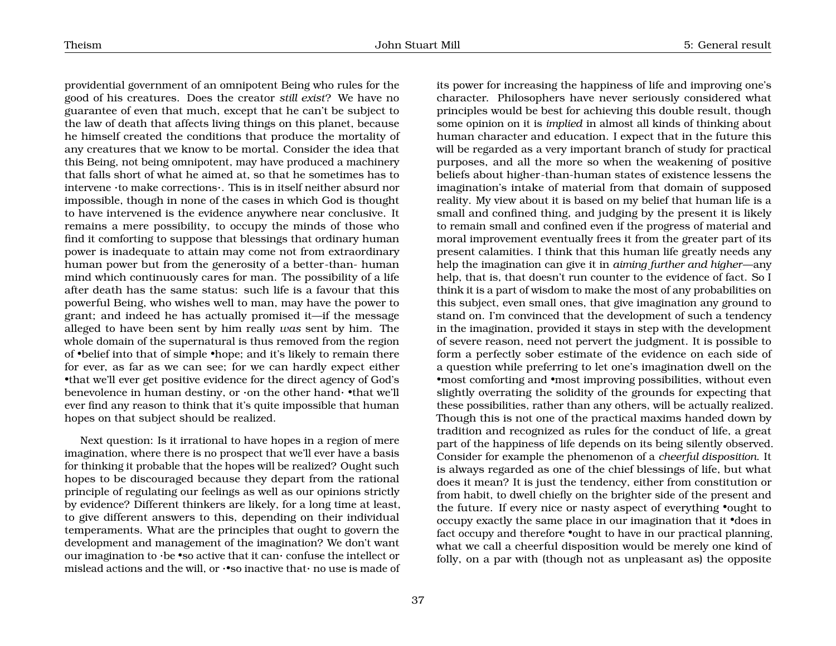providential government of an omnipotent Being who rules for the good of his creatures. Does the creator *still exist*? We have no guarantee of even that much, except that he can't be subject to the law of death that affects living things on this planet, because he himself created the conditions that produce the mortality of any creatures that we know to be mortal. Consider the idea that this Being, not being omnipotent, may have produced a machinery that falls short of what he aimed at, so that he sometimes has to intervene ·to make corrections·. This is in itself neither absurd nor impossible, though in none of the cases in which God is thought to have intervened is the evidence anywhere near conclusive. It remains a mere possibility, to occupy the minds of those who find it comforting to suppose that blessings that ordinary human power is inadequate to attain may come not from extraordinary human power but from the generosity of a better-than- human mind which continuously cares for man. The possibility of a life after death has the same status: such life is a favour that this powerful Being, who wishes well to man, may have the power to grant; and indeed he has actually promised it—if the message alleged to have been sent by him really *was* sent by him. The whole domain of the supernatural is thus removed from the region of •belief into that of simple •hope; and it's likely to remain there for ever, as far as we can see; for we can hardly expect either •that we'll ever get positive evidence for the direct agency of God's benevolence in human destiny, or ·on the other hand· •that we'll ever find any reason to think that it's quite impossible that human hopes on that subject should be realized.

Next question: Is it irrational to have hopes in a region of mere imagination, where there is no prospect that we'll ever have a basis for thinking it probable that the hopes will be realized? Ought such hopes to be discouraged because they depart from the rational principle of regulating our feelings as well as our opinions strictly by evidence? Different thinkers are likely, for a long time at least, to give different answers to this, depending on their individual temperaments. What are the principles that ought to govern the development and management of the imagination? We don't want our imagination to  $\cdot$  be  $\bullet$  so active that it can $\cdot$  confuse the intellect or mislead actions and the will, or ·•so inactive that· no use is made of

its power for increasing the happiness of life and improving one's character. Philosophers have never seriously considered what principles would be best for achieving this double result, though some opinion on it is *implied* in almost all kinds of thinking about human character and education. I expect that in the future this will be regarded as a very important branch of study for practical purposes, and all the more so when the weakening of positive beliefs about higher-than-human states of existence lessens the imagination's intake of material from that domain of supposed reality. My view about it is based on my belief that human life is a small and confined thing, and judging by the present it is likely to remain small and confined even if the progress of material and moral improvement eventually frees it from the greater part of its present calamities. I think that this human life greatly needs any help the imagination can give it in *aiming further and higher*—any help, that is, that doesn't run counter to the evidence of fact. So I think it is a part of wisdom to make the most of any probabilities on this subject, even small ones, that give imagination any ground to stand on. I'm convinced that the development of such a tendency in the imagination, provided it stays in step with the development of severe reason, need not pervert the judgment. It is possible to form a perfectly sober estimate of the evidence on each side of a question while preferring to let one's imagination dwell on the •most comforting and •most improving possibilities, without even slightly overrating the solidity of the grounds for expecting that these possibilities, rather than any others, will be actually realized. Though this is not one of the practical maxims handed down by tradition and recognized as rules for the conduct of life, a great part of the happiness of life depends on its being silently observed. Consider for example the phenomenon of a *cheerful disposition*. It is always regarded as one of the chief blessings of life, but what does it mean? It is just the tendency, either from constitution or from habit, to dwell chiefly on the brighter side of the present and the future. If every nice or nasty aspect of everything •ought to occupy exactly the same place in our imagination that it •does in fact occupy and therefore •ought to have in our practical planning, what we call a cheerful disposition would be merely one kind of folly, on a par with (though not as unpleasant as) the opposite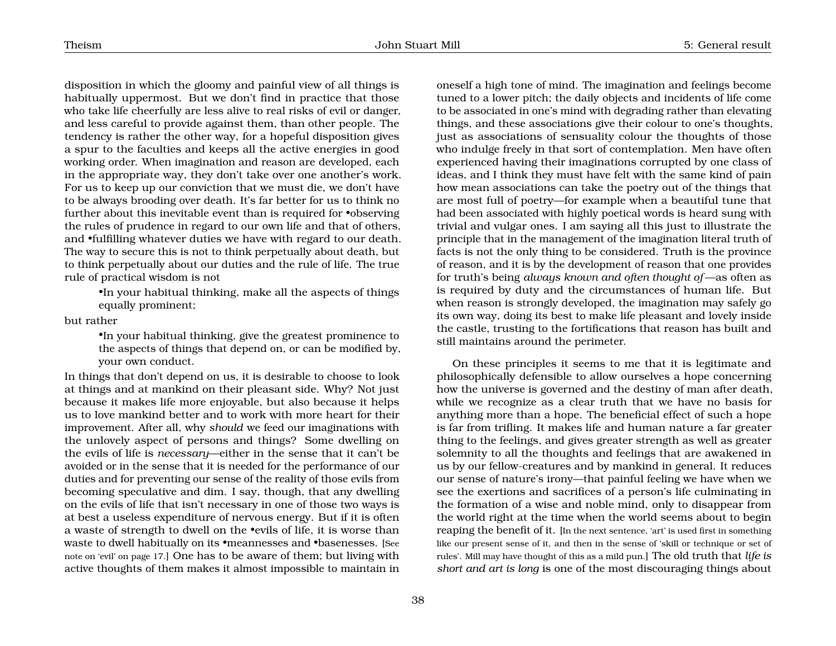disposition in which the gloomy and painful view of all things is habitually uppermost. But we don't find in practice that those who take life cheerfully are less alive to real risks of evil or danger, and less careful to provide against them, than other people. The tendency is rather the other way, for a hopeful disposition gives a spur to the faculties and keeps all the active energies in good working order. When imagination and reason are developed, each in the appropriate way, they don't take over one another's work. For us to keep up our conviction that we must die, we don't have to be always brooding over death. It's far better for us to think no further about this inevitable event than is required for •observing the rules of prudence in regard to our own life and that of others, and •fulfilling whatever duties we have with regard to our death. The way to secure this is not to think perpetually about death, but to think perpetually about our duties and the rule of life. The true rule of practical wisdom is not

> •In your habitual thinking, make all the aspects of things equally prominent;

but rather

•In your habitual thinking, give the greatest prominence to the aspects of things that depend on, or can be modified by, your own conduct.

In things that don't depend on us, it is desirable to choose to look at things and at mankind on their pleasant side. Why? Not just because it makes life more enjoyable, but also because it helps us to love mankind better and to work with more heart for their improvement. After all, why *should* we feed our imaginations with the unlovely aspect of persons and things? Some dwelling on the evils of life is *necessary*—either in the sense that it can't be avoided or in the sense that it is needed for the performance of our duties and for preventing our sense of the reality of those evils from becoming speculative and dim. I say, though, that any dwelling on the evils of life that isn't necessary in one of those two ways is at best a useless expenditure of nervous energy. But if it is often a waste of strength to dwell on the •evils of life, it is worse than waste to dwell habitually on its •meannesses and •basenesses. [See note on 'evil' on page [17.](#page-16-1)] One has to be aware of them; but living with active thoughts of them makes it almost impossible to maintain in

oneself a high tone of mind. The imagination and feelings become tuned to a lower pitch; the daily objects and incidents of life come to be associated in one's mind with degrading rather than elevating things, and these associations give their colour to one's thoughts, just as associations of sensuality colour the thoughts of those who indulge freely in that sort of contemplation. Men have often experienced having their imaginations corrupted by one class of ideas, and I think they must have felt with the same kind of pain how mean associations can take the poetry out of the things that are most full of poetry—for example when a beautiful tune that had been associated with highly poetical words is heard sung with trivial and vulgar ones. I am saying all this just to illustrate the principle that in the management of the imagination literal truth of facts is not the only thing to be considered. Truth is the province of reason, and it is by the development of reason that one provides for truth's being *always known and often thought of* —as often as is required by duty and the circumstances of human life. But when reason is strongly developed, the imagination may safely go its own way, doing its best to make life pleasant and lovely inside the castle, trusting to the fortifications that reason has built and still maintains around the perimeter.

On these principles it seems to me that it is legitimate and philosophically defensible to allow ourselves a hope concerning how the universe is governed and the destiny of man after death, while we recognize as a clear truth that we have no basis for anything more than a hope. The beneficial effect of such a hope is far from trifling. It makes life and human nature a far greater thing to the feelings, and gives greater strength as well as greater solemnity to all the thoughts and feelings that are awakened in us by our fellow-creatures and by mankind in general. It reduces our sense of nature's irony—that painful feeling we have when we see the exertions and sacrifices of a person's life culminating in the formation of a wise and noble mind, only to disappear from the world right at the time when the world seems about to begin reaping the benefit of it. [In the next sentence, 'art' is used first in something like our present sense of it, and then in the sense of 'skill or technique or set of rules'. Mill may have thought of this as a mild pun.] The old truth that *life is short and art is long* is one of the most discouraging things about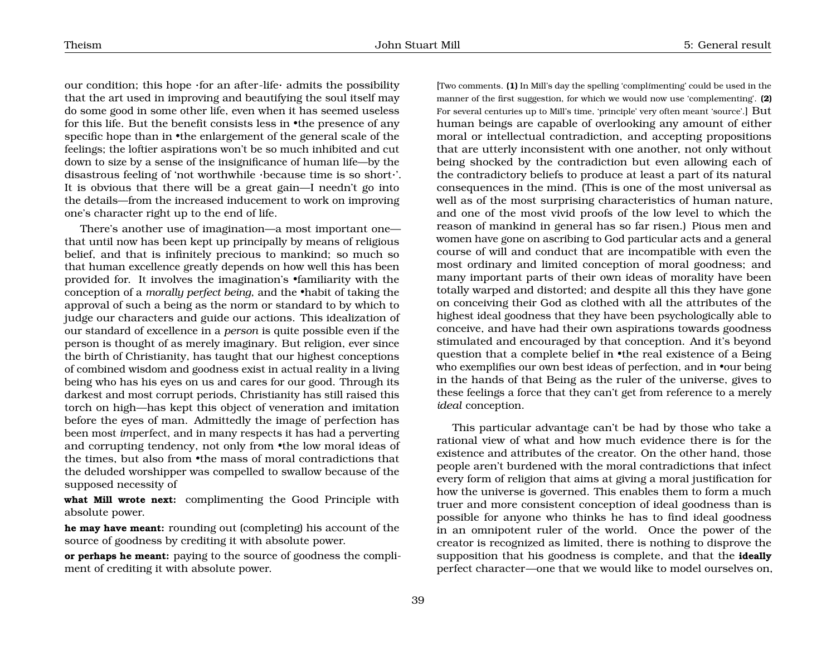our condition; this hope  $\cdot$  for an after-life $\cdot$  admits the possibility that the art used in improving and beautifying the soul itself may do some good in some other life, even when it has seemed useless for this life. But the benefit consists less in •the presence of any specific hope than in •the enlargement of the general scale of the feelings; the loftier aspirations won't be so much inhibited and cut down to size by a sense of the insignificance of human life—by the disastrous feeling of 'not worthwhile ·because time is so short·'. It is obvious that there will be a great gain—I needn't go into the details—from the increased inducement to work on improving one's character right up to the end of life.

There's another use of imagination—a most important one that until now has been kept up principally by means of religious belief, and that is infinitely precious to mankind; so much so that human excellence greatly depends on how well this has been provided for. It involves the imagination's •familiarity with the conception of a *morally perfect being*, and the •habit of taking the approval of such a being as the norm or standard to by which to judge our characters and guide our actions. This idealization of our standard of excellence in a *person* is quite possible even if the person is thought of as merely imaginary. But religion, ever since the birth of Christianity, has taught that our highest conceptions of combined wisdom and goodness exist in actual reality in a living being who has his eyes on us and cares for our good. Through its darkest and most corrupt periods, Christianity has still raised this torch on high—has kept this object of veneration and imitation before the eyes of man. Admittedly the image of perfection has been most *im*perfect, and in many respects it has had a perverting and corrupting tendency, not only from •the low moral ideas of the times, but also from •the mass of moral contradictions that the deluded worshipper was compelled to swallow because of the supposed necessity of

**what Mill wrote next:** complimenting the Good Principle with absolute power.

**he may have meant:** rounding out (completing) his account of the source of goodness by crediting it with absolute power.

**or perhaps he meant:** paying to the source of goodness the compliment of crediting it with absolute power.

[Two comments. **(1)** In Mill's day the spelling 'compl*i*menting' could be used in the manner of the first suggestion, for which we would now use 'compl*e*menting'. **(2)** For several centuries up to Mill's time, 'principle' very often meant 'source'.] But human beings are capable of overlooking any amount of either moral or intellectual contradiction, and accepting propositions that are utterly inconsistent with one another, not only without being shocked by the contradiction but even allowing each of the contradictory beliefs to produce at least a part of its natural consequences in the mind. (This is one of the most universal as well as of the most surprising characteristics of human nature, and one of the most vivid proofs of the low level to which the reason of mankind in general has so far risen.) Pious men and women have gone on ascribing to God particular acts and a general course of will and conduct that are incompatible with even the most ordinary and limited conception of moral goodness; and many important parts of their own ideas of morality have been totally warped and distorted; and despite all this they have gone on conceiving their God as clothed with all the attributes of the highest ideal goodness that they have been psychologically able to conceive, and have had their own aspirations towards goodness stimulated and encouraged by that conception. And it's beyond question that a complete belief in •the real existence of a Being who exemplifies our own best ideas of perfection, and in **•**our being in the hands of that Being as the ruler of the universe, gives to these feelings a force that they can't get from reference to a merely *ideal* conception.

This particular advantage can't be had by those who take a rational view of what and how much evidence there is for the existence and attributes of the creator. On the other hand, those people aren't burdened with the moral contradictions that infect every form of religion that aims at giving a moral justification for how the universe is governed. This enables them to form a much truer and more consistent conception of ideal goodness than is possible for anyone who thinks he has to find ideal goodness in an omnipotent ruler of the world. Once the power of the creator is recognized as limited, there is nothing to disprove the supposition that his goodness is complete, and that the **ideally** perfect character—one that we would like to model ourselves on,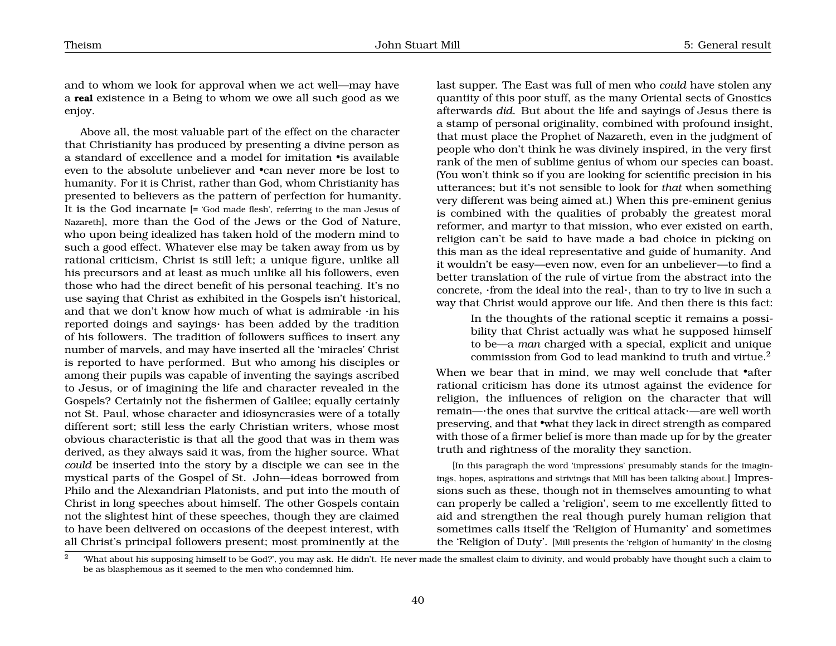and to whom we look for approval when we act well—may have a **real** existence in a Being to whom we owe all such good as we enjoy.

Above all, the most valuable part of the effect on the character that Christianity has produced by presenting a divine person as a standard of excellence and a model for imitation •is available even to the absolute unbeliever and •can never more be lost to humanity. For it is Christ, rather than God, whom Christianity has presented to believers as the pattern of perfection for humanity. It is the God incarnate [= 'God made flesh', referring to the man Jesus of Nazareth], more than the God of the Jews or the God of Nature, who upon being idealized has taken hold of the modern mind to such a good effect. Whatever else may be taken away from us by rational criticism, Christ is still left; a unique figure, unlike all his precursors and at least as much unlike all his followers, even those who had the direct benefit of his personal teaching. It's no use saying that Christ as exhibited in the Gospels isn't historical, and that we don't know how much of what is admirable ·in his reported doings and sayings· has been added by the tradition of his followers. The tradition of followers suffices to insert any number of marvels, and may have inserted all the 'miracles' Christ is reported to have performed. But who among his disciples or among their pupils was capable of inventing the sayings ascribed to Jesus, or of imagining the life and character revealed in the Gospels? Certainly not the fishermen of Galilee; equally certainly not St. Paul, whose character and idiosyncrasies were of a totally different sort; still less the early Christian writers, whose most obvious characteristic is that all the good that was in them was derived, as they always said it was, from the higher source. What *could* be inserted into the story by a disciple we can see in the mystical parts of the Gospel of St. John—ideas borrowed from Philo and the Alexandrian Platonists, and put into the mouth of Christ in long speeches about himself. The other Gospels contain not the slightest hint of these speeches, though they are claimed to have been delivered on occasions of the deepest interest, with all Christ's principal followers present; most prominently at the

last supper. The East was full of men who *could* have stolen any quantity of this poor stuff, as the many Oriental sects of Gnostics afterwards *did*. But about the life and sayings of Jesus there is a stamp of personal originality, combined with profound insight, that must place the Prophet of Nazareth, even in the judgment of people who don't think he was divinely inspired, in the very first rank of the men of sublime genius of whom our species can boast. (You won't think so if you are looking for scientific precision in his utterances; but it's not sensible to look for *that* when something very different was being aimed at.) When this pre-eminent genius is combined with the qualities of probably the greatest moral reformer, and martyr to that mission, who ever existed on earth, religion can't be said to have made a bad choice in picking on this man as the ideal representative and guide of humanity. And it wouldn't be easy—even now, even for an unbeliever—to find a better translation of the rule of virtue from the abstract into the concrete, ·from the ideal into the real·, than to try to live in such a way that Christ would approve our life. And then there is this fact:

> In the thoughts of the rational sceptic it remains a possibility that Christ actually was what he supposed himself to be—a *man* charged with a special, explicit and unique commission from God to lead mankind to truth and virtue.<sup>[2](#page-40-0)</sup>

When we bear that in mind, we may well conclude that •after rational criticism has done its utmost against the evidence for religion, the influences of religion on the character that will remain—·the ones that survive the critical attack·—are well worth preserving, and that •what they lack in direct strength as compared with those of a firmer belief is more than made up for by the greater truth and rightness of the morality they sanction.

[In this paragraph the word 'impressions' presumably stands for the imaginings, hopes, aspirations and strivings that Mill has been talking about.] Impressions such as these, though not in themselves amounting to what can properly be called a 'religion', seem to me excellently fitted to aid and strengthen the real though purely human religion that sometimes calls itself the 'Religion of Humanity' and sometimes the 'Religion of Duty'. [Mill presents the 'religion of humanity' in the closing

<span id="page-40-0"></span><sup>2</sup> 'What about his supposing himself to be God?', you may ask. He didn't. He never made the smallest claim to divinity, and would probably have thought such a claim to be as blasphemous as it seemed to the men who condemned him.